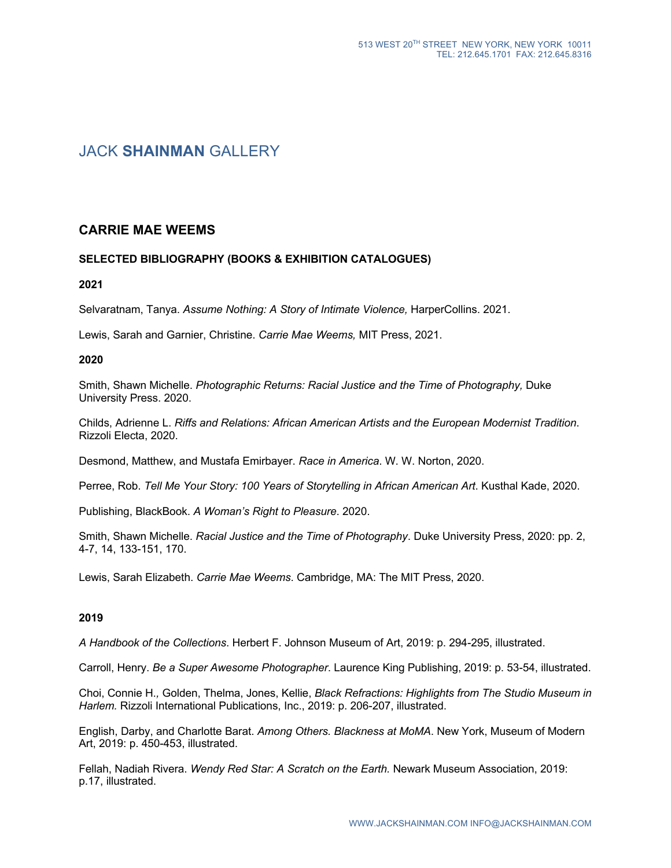# JACK **SHAINMAN** GALLERY

## **CARRIE MAE WEEMS**

## **SELECTED BIBLIOGRAPHY (BOOKS & EXHIBITION CATALOGUES)**

## **2021**

Selvaratnam, Tanya. *Assume Nothing: A Story of Intimate Violence,* HarperCollins. 2021.

Lewis, Sarah and Garnier, Christine. *Carrie Mae Weems,* MIT Press, 2021.

#### **2020**

Smith, Shawn Michelle. *Photographic Returns: Racial Justice and the Time of Photography,* Duke University Press. 2020.

Childs, Adrienne L. *Riffs and Relations: African American Artists and the European Modernist Tradition*. Rizzoli Electa, 2020.

Desmond, Matthew, and Mustafa Emirbayer. *Race in America*. W. W. Norton, 2020.

Perree, Rob. *Tell Me Your Story: 100 Years of Storytelling in African American Art*. Kusthal Kade, 2020.

Publishing, BlackBook. *A Woman's Right to Pleasure*. 2020.

Smith, Shawn Michelle. *Racial Justice and the Time of Photography*. Duke University Press, 2020: pp. 2, 4-7, 14, 133-151, 170.

Lewis, Sarah Elizabeth. *Carrie Mae Weems*. Cambridge, MA: The MIT Press, 2020.

## **2019**

*A Handbook of the Collections*. Herbert F. Johnson Museum of Art, 2019: p. 294-295, illustrated.

Carroll, Henry. *Be a Super Awesome Photographer*. Laurence King Publishing, 2019: p. 53-54, illustrated.

Choi, Connie H.*,* Golden, Thelma, Jones, Kellie, *Black Refractions: Highlights from The Studio Museum in Harlem.* Rizzoli International Publications, Inc., 2019: p. 206-207, illustrated.

English, Darby, and Charlotte Barat. *Among Others. Blackness at MoMA*. New York, Museum of Modern Art, 2019: p. 450-453, illustrated.

Fellah, Nadiah Rivera. *Wendy Red Star: A Scratch on the Earth.* Newark Museum Association, 2019: p.17, illustrated.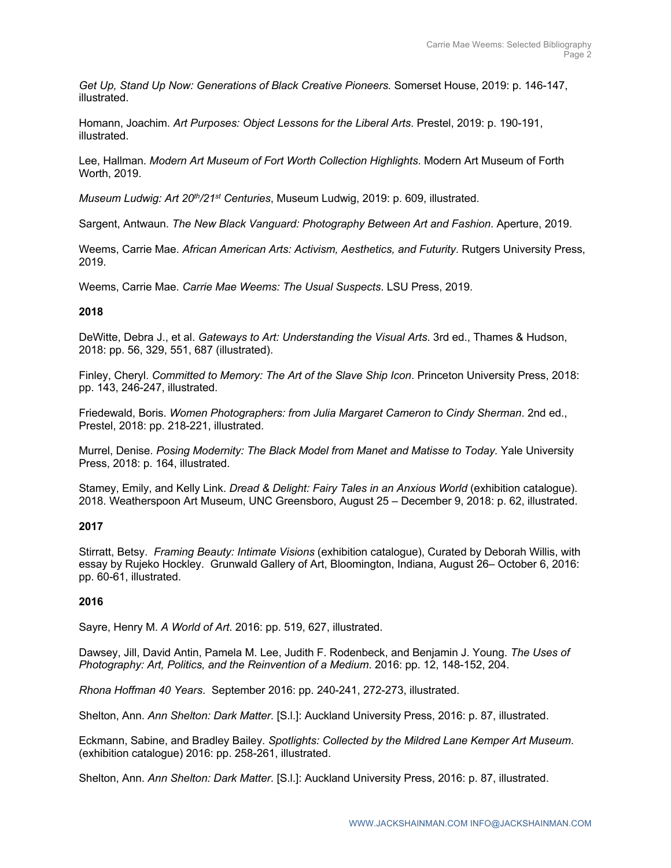*Get Up, Stand Up Now: Generations of Black Creative Pioneers.* Somerset House, 2019: p. 146-147, illustrated.

Homann, Joachim. *Art Purposes: Object Lessons for the Liberal Arts*. Prestel, 2019: p. 190-191, illustrated.

Lee, Hallman. *Modern Art Museum of Fort Worth Collection Highlights*. Modern Art Museum of Forth Worth, 2019.

*Museum Ludwig: Art 20th/21st Centuries*, Museum Ludwig, 2019: p. 609, illustrated.

Sargent, Antwaun. *The New Black Vanguard: Photography Between Art and Fashion*. Aperture, 2019.

Weems, Carrie Mae. *African American Arts: Activism, Aesthetics, and Futurity*. Rutgers University Press, 2019.

Weems, Carrie Mae. *Carrie Mae Weems: The Usual Suspects*. LSU Press, 2019.

## **2018**

DeWitte, Debra J., et al. *Gateways to Art: Understanding the Visual Arts*. 3rd ed., Thames & Hudson, 2018: pp. 56, 329, 551, 687 (illustrated).

Finley, Cheryl. *Committed to Memory: The Art of the Slave Ship Icon*. Princeton University Press, 2018: pp. 143, 246-247, illustrated.

Friedewald, Boris. *Women Photographers: from Julia Margaret Cameron to Cindy Sherman*. 2nd ed., Prestel, 2018: pp. 218-221, illustrated.

Murrel, Denise. *Posing Modernity: The Black Model from Manet and Matisse to Today.* Yale University Press, 2018: p. 164, illustrated.

Stamey, Emily, and Kelly Link. *Dread & Delight: Fairy Tales in an Anxious World* (exhibition catalogue). 2018. Weatherspoon Art Museum, UNC Greensboro, August 25 – December 9, 2018: p. 62, illustrated.

## **2017**

Stirratt, Betsy. *Framing Beauty: Intimate Visions* (exhibition catalogue), Curated by Deborah Willis, with essay by Rujeko Hockley. Grunwald Gallery of Art, Bloomington, Indiana, August 26– October 6, 2016: pp. 60-61, illustrated.

## **2016**

Sayre, Henry M. *A World of Art*. 2016: pp. 519, 627, illustrated.

Dawsey, Jill, David Antin, Pamela M. Lee, Judith F. Rodenbeck, and Benjamin J. Young. *The Uses of Photography: Art, Politics, and the Reinvention of a Medium*. 2016: pp. 12, 148-152, 204.

*Rhona Hoffman 40 Years*. September 2016: pp. 240-241, 272-273, illustrated.

Shelton, Ann. *Ann Shelton: Dark Matter*. [S.l.]: Auckland University Press, 2016: p. 87, illustrated.

Eckmann, Sabine, and Bradley Bailey. *Spotlights: Collected by the Mildred Lane Kemper Art Museum*. (exhibition catalogue) 2016: pp. 258-261, illustrated.

Shelton, Ann. *Ann Shelton: Dark Matter*. [S.l.]: Auckland University Press, 2016: p. 87, illustrated.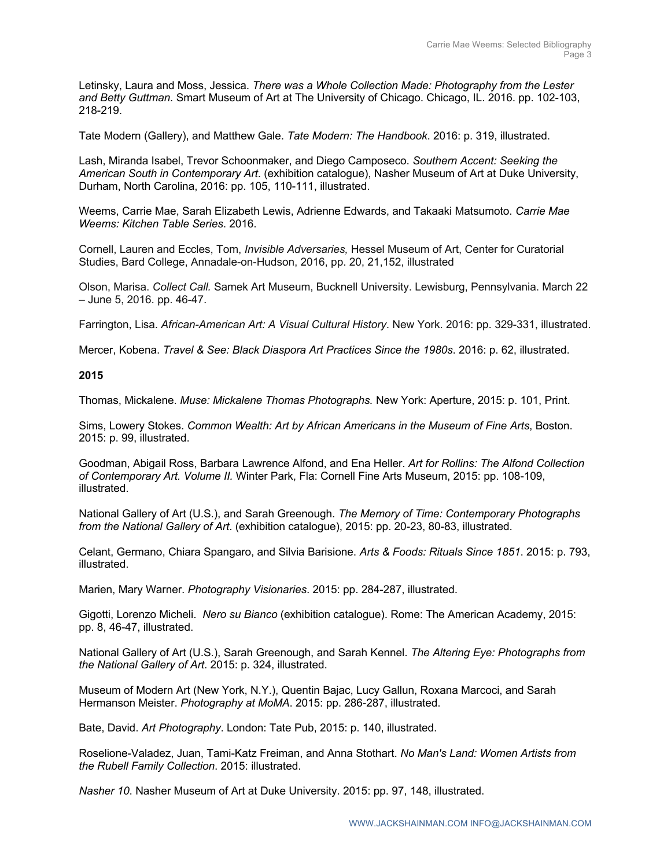Letinsky, Laura and Moss, Jessica. *There was a Whole Collection Made: Photography from the Lester and Betty Guttman.* Smart Museum of Art at The University of Chicago. Chicago, IL. 2016. pp. 102-103, 218-219.

Tate Modern (Gallery), and Matthew Gale. *Tate Modern: The Handbook*. 2016: p. 319, illustrated.

Lash, Miranda Isabel, Trevor Schoonmaker, and Diego Camposeco. *Southern Accent: Seeking the American South in Contemporary Art*. (exhibition catalogue), Nasher Museum of Art at Duke University, Durham, North Carolina, 2016: pp. 105, 110-111, illustrated.

Weems, Carrie Mae, Sarah Elizabeth Lewis, Adrienne Edwards, and Takaaki Matsumoto. *Carrie Mae Weems: Kitchen Table Series*. 2016.

Cornell, Lauren and Eccles, Tom, *Invisible Adversaries,* Hessel Museum of Art, Center for Curatorial Studies, Bard College, Annadale-on-Hudson, 2016, pp. 20, 21,152, illustrated

Olson, Marisa. *Collect Call.* Samek Art Museum, Bucknell University. Lewisburg, Pennsylvania. March 22 – June 5, 2016. pp. 46-47.

Farrington, Lisa. *African-American Art: A Visual Cultural History*. New York. 2016: pp. 329-331, illustrated.

Mercer, Kobena. *Travel & See: Black Diaspora Art Practices Since the 1980s*. 2016: p. 62, illustrated.

#### **2015**

Thomas, Mickalene. *Muse: Mickalene Thomas Photographs.* New York: Aperture, 2015: p. 101, Print.

Sims, Lowery Stokes. *Common Wealth: Art by African Americans in the Museum of Fine Arts*, Boston. 2015: p. 99, illustrated.

Goodman, Abigail Ross, Barbara Lawrence Alfond, and Ena Heller. *Art for Rollins: The Alfond Collection of Contemporary Art. Volume II.* Winter Park, Fla: Cornell Fine Arts Museum, 2015: pp. 108-109, illustrated.

National Gallery of Art (U.S.), and Sarah Greenough. *The Memory of Time: Contemporary Photographs from the National Gallery of Art*. (exhibition catalogue), 2015: pp. 20-23, 80-83, illustrated.

Celant, Germano, Chiara Spangaro, and Silvia Barisione. *Arts & Foods: Rituals Since 1851*. 2015: p. 793, illustrated.

Marien, Mary Warner. *Photography Visionaries*. 2015: pp. 284-287, illustrated.

Gigotti, Lorenzo Micheli. *Nero su Bianco* (exhibition catalogue). Rome: The American Academy, 2015: pp. 8, 46-47, illustrated.

National Gallery of Art (U.S.), Sarah Greenough, and Sarah Kennel. *The Altering Eye: Photographs from the National Gallery of Art*. 2015: p. 324, illustrated.

Museum of Modern Art (New York, N.Y.), Quentin Bajac, Lucy Gallun, Roxana Marcoci, and Sarah Hermanson Meister. *Photography at MoMA*. 2015: pp. 286-287, illustrated.

Bate, David. *Art Photography*. London: Tate Pub, 2015: p. 140, illustrated.

Roselione-Valadez, Juan, Tami-Katz Freiman, and Anna Stothart. *No Man's Land: Women Artists from the Rubell Family Collection*. 2015: illustrated.

*Nasher 10*. Nasher Museum of Art at Duke University. 2015: pp. 97, 148, illustrated.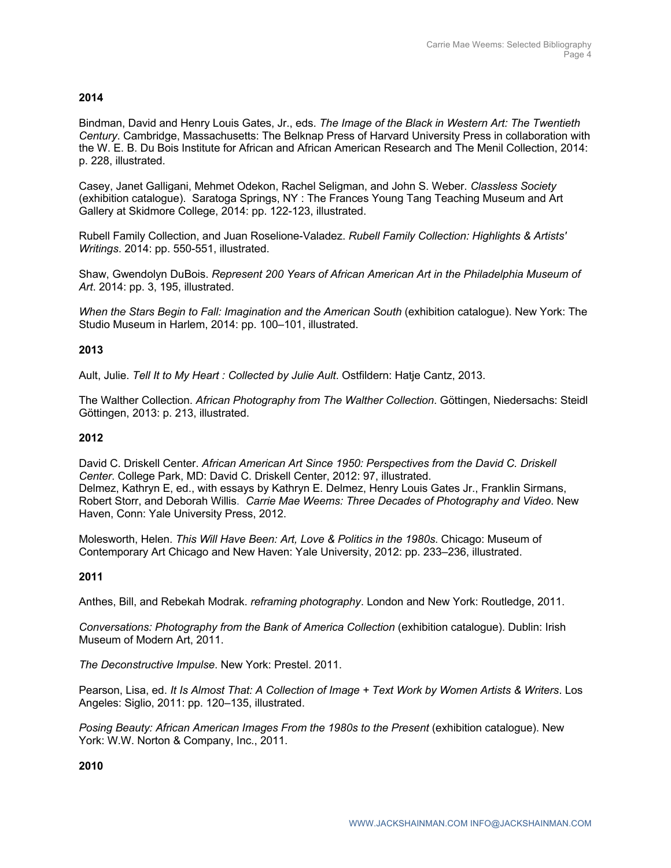## **2014**

Bindman, David and Henry Louis Gates, Jr., eds. *The Image of the Black in Western Art: The Twentieth Century*. Cambridge, Massachusetts: The Belknap Press of Harvard University Press in collaboration with the W. E. B. Du Bois Institute for African and African American Research and The Menil Collection, 2014: p. 228, illustrated.

Casey, Janet Galligani, Mehmet Odekon, Rachel Seligman, and John S. Weber. *Classless Society* (exhibition catalogue). Saratoga Springs, NY : The Frances Young Tang Teaching Museum and Art Gallery at Skidmore College, 2014: pp. 122-123, illustrated.

Rubell Family Collection, and Juan Roselione-Valadez. *Rubell Family Collection: Highlights & Artists' Writings*. 2014: pp. 550-551, illustrated.

Shaw, Gwendolyn DuBois. *Represent 200 Years of African American Art in the Philadelphia Museum of Art*. 2014: pp. 3, 195, illustrated.

*When the Stars Begin to Fall: Imagination and the American South* (exhibition catalogue). New York: The Studio Museum in Harlem, 2014: pp. 100–101, illustrated.

## **2013**

Ault, Julie. *Tell It to My Heart : Collected by Julie Ault*. Ostfildern: Hatje Cantz, 2013.

The Walther Collection. *African Photography from The Walther Collection*. Göttingen, Niedersachs: Steidl Göttingen, 2013: p. 213, illustrated.

## **2012**

David C. Driskell Center. *African American Art Since 1950: Perspectives from the David C. Driskell Center*. College Park, MD: David C. Driskell Center, 2012: 97, illustrated. Delmez, Kathryn E, ed., with essays by Kathryn E. Delmez, Henry Louis Gates Jr., Franklin Sirmans, Robert Storr, and Deborah Willis. *Carrie Mae Weems: Three Decades of Photography and Video*. New Haven, Conn: Yale University Press, 2012.

Molesworth, Helen. *This Will Have Been: Art, Love & Politics in the 1980s*. Chicago: Museum of Contemporary Art Chicago and New Haven: Yale University, 2012: pp. 233–236, illustrated.

## **2011**

Anthes, Bill, and Rebekah Modrak. *reframing photography*. London and New York: Routledge, 2011.

*Conversations: Photography from the Bank of America Collection* (exhibition catalogue). Dublin: Irish Museum of Modern Art, 2011.

*The Deconstructive Impulse*. New York: Prestel. 2011.

Pearson, Lisa, ed. *It Is Almost That: A Collection of Image + Text Work by Women Artists & Writers*. Los Angeles: Siglio, 2011: pp. 120–135, illustrated.

*Posing Beauty: African American Images From the 1980s to the Present* (exhibition catalogue). New York: W.W. Norton & Company, Inc., 2011.

**2010**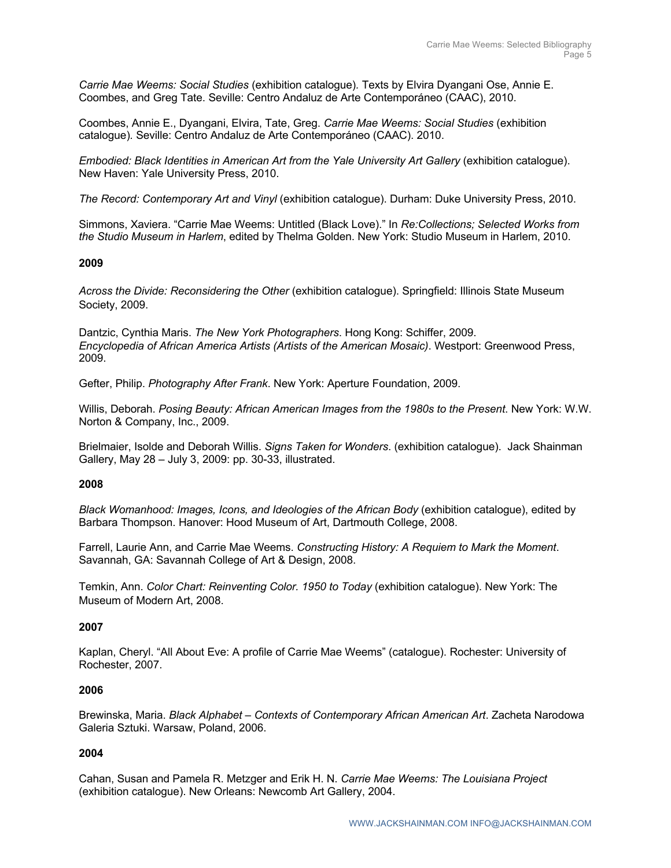*Carrie Mae Weems: Social Studies* (exhibition catalogue)*.* Texts by Elvira Dyangani Ose, Annie E. Coombes, and Greg Tate. Seville: Centro Andaluz de Arte Contemporáneo (CAAC), 2010.

Coombes, Annie E., Dyangani, Elvira, Tate, Greg. *Carrie Mae Weems: Social Studies* (exhibition catalogue)*.* Seville: Centro Andaluz de Arte Contemporáneo (CAAC). 2010.

*Embodied: Black Identities in American Art from the Yale University Art Gallery (exhibition catalogue).* New Haven: Yale University Press, 2010.

*The Record: Contemporary Art and Vinyl* (exhibition catalogue). Durham: Duke University Press, 2010.

Simmons, Xaviera. "Carrie Mae Weems: Untitled (Black Love)." In *Re:Collections; Selected Works from the Studio Museum in Harlem*, edited by Thelma Golden. New York: Studio Museum in Harlem, 2010.

## **2009**

*Across the Divide: Reconsidering the Other* (exhibition catalogue). Springfield: Illinois State Museum Society, 2009.

Dantzic, Cynthia Maris. *The New York Photographers*. Hong Kong: Schiffer, 2009. *Encyclopedia of African America Artists (Artists of the American Mosaic)*. Westport: Greenwood Press, 2009.

Gefter, Philip. *Photography After Frank*. New York: Aperture Foundation, 2009.

Willis, Deborah. *Posing Beauty: African American Images from the 1980s to the Present*. New York: W.W. Norton & Company, Inc., 2009.

Brielmaier, Isolde and Deborah Willis. *Signs Taken for Wonders*. (exhibition catalogue). Jack Shainman Gallery, May 28 – July 3, 2009: pp. 30-33, illustrated.

## **2008**

*Black Womanhood: Images, Icons, and Ideologies of the African Body* (exhibition catalogue), edited by Barbara Thompson. Hanover: Hood Museum of Art, Dartmouth College, 2008.

Farrell, Laurie Ann, and Carrie Mae Weems. *Constructing History: A Requiem to Mark the Moment*. Savannah, GA: Savannah College of Art & Design, 2008.

Temkin, Ann. *Color Chart: Reinventing Color. 1950 to Today* (exhibition catalogue). New York: The Museum of Modern Art, 2008.

## **2007**

Kaplan, Cheryl. "All About Eve: A profile of Carrie Mae Weems" (catalogue). Rochester: University of Rochester, 2007.

## **2006**

Brewinska, Maria. *Black Alphabet – Contexts of Contemporary African American Art*. Zacheta Narodowa Galeria Sztuki. Warsaw, Poland, 2006.

## **2004**

Cahan, Susan and Pamela R. Metzger and Erik H. N. *Carrie Mae Weems: The Louisiana Project*  (exhibition catalogue). New Orleans: Newcomb Art Gallery, 2004.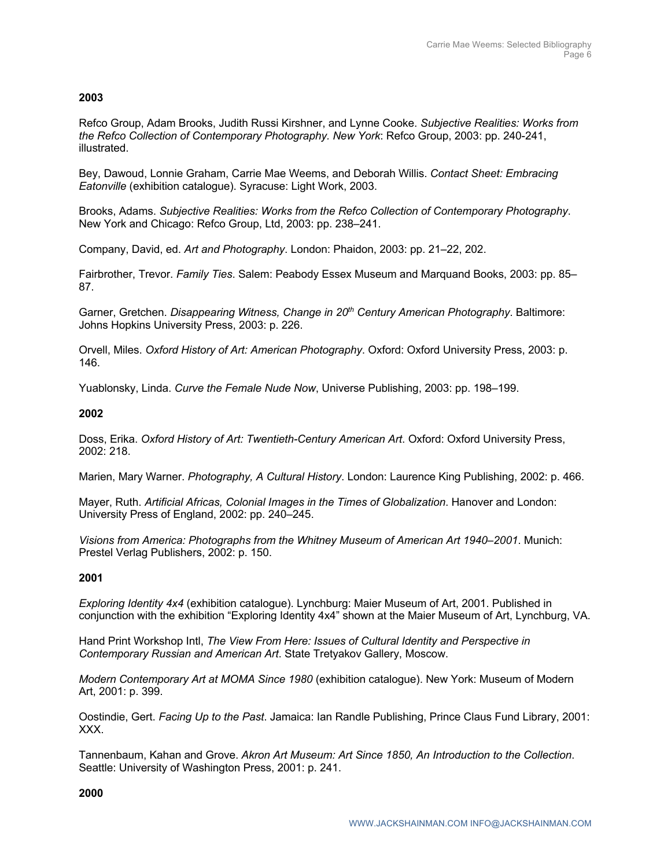## **2003**

Refco Group, Adam Brooks, Judith Russi Kirshner, and Lynne Cooke. *Subjective Realities: Works from the Refco Collection of Contemporary Photography. New York*: Refco Group, 2003: pp. 240-241, illustrated.

Bey, Dawoud, Lonnie Graham, Carrie Mae Weems, and Deborah Willis. *Contact Sheet: Embracing Eatonville* (exhibition catalogue). Syracuse: Light Work, 2003.

Brooks, Adams. *Subjective Realities: Works from the Refco Collection of Contemporary Photography*. New York and Chicago: Refco Group, Ltd, 2003: pp. 238–241.

Company, David, ed. *Art and Photography*. London: Phaidon, 2003: pp. 21–22, 202.

Fairbrother, Trevor. *Family Ties*. Salem: Peabody Essex Museum and Marquand Books, 2003: pp. 85– 87.

Garner, Gretchen. *Disappearing Witness, Change in 20th Century American Photography*. Baltimore: Johns Hopkins University Press, 2003: p. 226.

Orvell, Miles. *Oxford History of Art: American Photography*. Oxford: Oxford University Press, 2003: p. 146.

Yuablonsky, Linda. *Curve the Female Nude Now*, Universe Publishing, 2003: pp. 198–199.

## **2002**

Doss, Erika. *Oxford History of Art: Twentieth-Century American Art*. Oxford: Oxford University Press, 2002: 218.

Marien, Mary Warner. *Photography, A Cultural History*. London: Laurence King Publishing, 2002: p. 466.

Mayer, Ruth. *Artificial Africas, Colonial Images in the Times of Globalization*. Hanover and London: University Press of England, 2002: pp. 240–245.

*Visions from America: Photographs from the Whitney Museum of American Art 1940–2001*. Munich: Prestel Verlag Publishers, 2002: p. 150.

## **2001**

*Exploring Identity 4x4* (exhibition catalogue). Lynchburg: Maier Museum of Art, 2001. Published in conjunction with the exhibition "Exploring Identity 4x4" shown at the Maier Museum of Art, Lynchburg, VA.

Hand Print Workshop Intl, *The View From Here: Issues of Cultural Identity and Perspective in Contemporary Russian and American Art*. State Tretyakov Gallery, Moscow.

*Modern Contemporary Art at MOMA Since 1980* (exhibition catalogue). New York: Museum of Modern Art, 2001: p. 399.

Oostindie, Gert. *Facing Up to the Past*. Jamaica: Ian Randle Publishing, Prince Claus Fund Library, 2001: XXX.

Tannenbaum, Kahan and Grove. *Akron Art Museum: Art Since 1850, An Introduction to the Collection*. Seattle: University of Washington Press, 2001: p. 241.

**2000**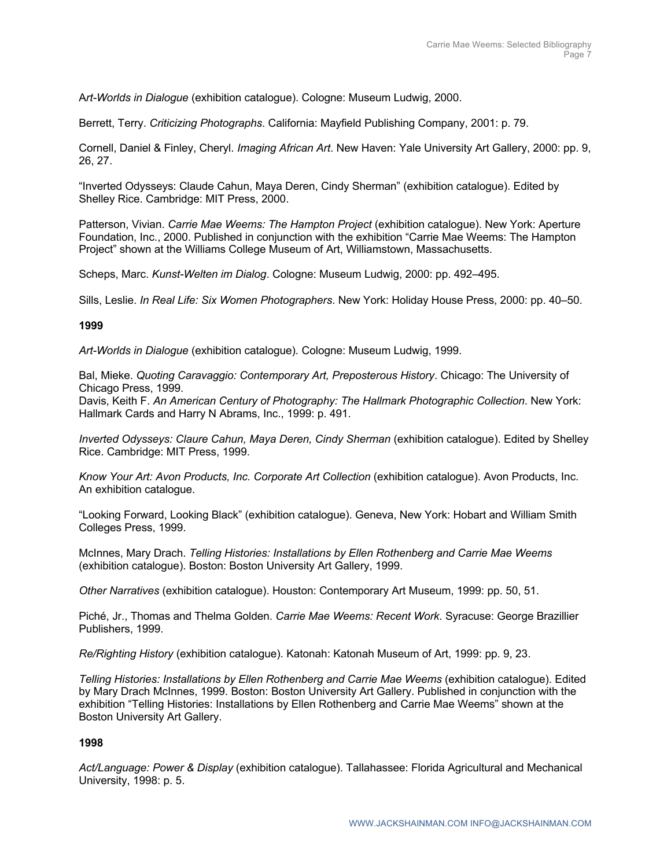A*rt-Worlds in Dialogue* (exhibition catalogue). Cologne: Museum Ludwig, 2000.

Berrett, Terry. *Criticizing Photographs*. California: Mayfield Publishing Company, 2001: p. 79.

Cornell, Daniel & Finley, Cheryl. *Imaging African Art*. New Haven: Yale University Art Gallery, 2000: pp. 9, 26, 27.

"Inverted Odysseys: Claude Cahun, Maya Deren, Cindy Sherman" (exhibition catalogue). Edited by Shelley Rice. Cambridge: MIT Press, 2000.

Patterson, Vivian. *Carrie Mae Weems: The Hampton Project* (exhibition catalogue). New York: Aperture Foundation, Inc., 2000. Published in conjunction with the exhibition "Carrie Mae Weems: The Hampton Project" shown at the Williams College Museum of Art, Williamstown, Massachusetts.

Scheps, Marc. *Kunst-Welten im Dialog*. Cologne: Museum Ludwig, 2000: pp. 492–495.

Sills, Leslie. *In Real Life: Six Women Photographers*. New York: Holiday House Press, 2000: pp. 40–50.

## **1999**

*Art-Worlds in Dialogue* (exhibition catalogue)*.* Cologne: Museum Ludwig, 1999.

Bal, Mieke. *Quoting Caravaggio: Contemporary Art, Preposterous History*. Chicago: The University of Chicago Press, 1999.

Davis, Keith F. *An American Century of Photography: The Hallmark Photographic Collection*. New York: Hallmark Cards and Harry N Abrams, Inc., 1999: p. 491.

*Inverted Odysseys: Claure Cahun, Maya Deren, Cindy Sherman* (exhibition catalogue). Edited by Shelley Rice. Cambridge: MIT Press, 1999.

*Know Your Art: Avon Products, Inc. Corporate Art Collection* (exhibition catalogue). Avon Products, Inc. An exhibition catalogue.

"Looking Forward, Looking Black" (exhibition catalogue). Geneva, New York: Hobart and William Smith Colleges Press, 1999.

McInnes, Mary Drach. *Telling Histories: Installations by Ellen Rothenberg and Carrie Mae Weems*  (exhibition catalogue). Boston: Boston University Art Gallery, 1999.

*Other Narratives* (exhibition catalogue). Houston: Contemporary Art Museum, 1999: pp. 50, 51.

Piché, Jr., Thomas and Thelma Golden. *Carrie Mae Weems: Recent Work*. Syracuse: George Brazillier Publishers, 1999.

*Re/Righting History* (exhibition catalogue). Katonah: Katonah Museum of Art, 1999: pp. 9, 23.

*Telling Histories: Installations by Ellen Rothenberg and Carrie Mae Weems (exhibition catalogue). Edited* by Mary Drach McInnes, 1999. Boston: Boston University Art Gallery. Published in conjunction with the exhibition "Telling Histories: Installations by Ellen Rothenberg and Carrie Mae Weems" shown at the Boston University Art Gallery.

## **1998**

*Act/Language: Power & Display* (exhibition catalogue). Tallahassee: Florida Agricultural and Mechanical University, 1998: p. 5.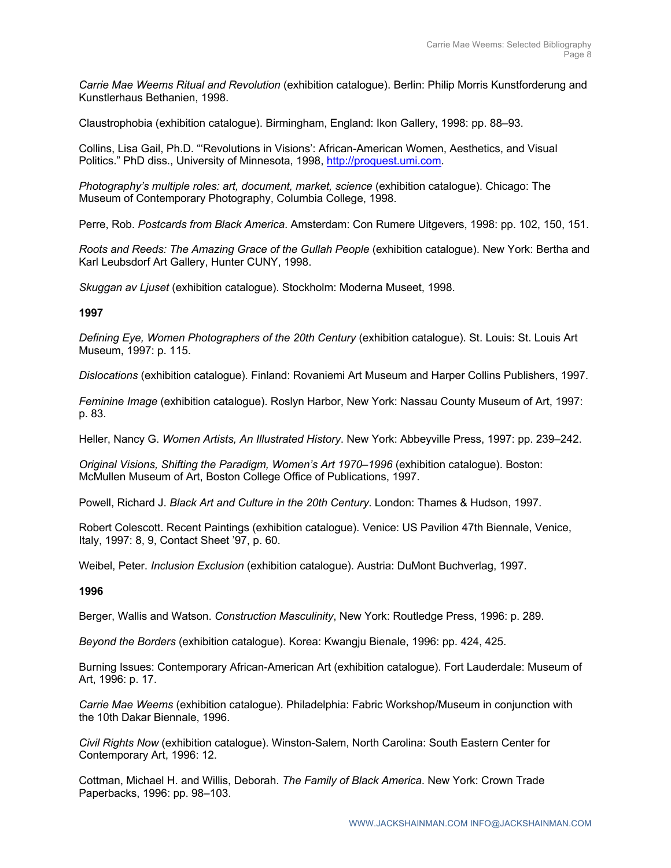*Carrie Mae Weems Ritual and Revolution* (exhibition catalogue). Berlin: Philip Morris Kunstforderung and Kunstlerhaus Bethanien, 1998.

Claustrophobia (exhibition catalogue). Birmingham, England: Ikon Gallery, 1998: pp. 88–93.

Collins, Lisa Gail, Ph.D. "'Revolutions in Visions': African-American Women, Aesthetics, and Visual Politics." PhD diss., University of Minnesota, 1998, http://proquest.umi.com.

*Photography's multiple roles: art, document, market, science* (exhibition catalogue). Chicago: The Museum of Contemporary Photography, Columbia College, 1998.

Perre, Rob. *Postcards from Black America*. Amsterdam: Con Rumere Uitgevers, 1998: pp. 102, 150, 151.

*Roots and Reeds: The Amazing Grace of the Gullah People* (exhibition catalogue). New York: Bertha and Karl Leubsdorf Art Gallery, Hunter CUNY, 1998.

*Skuggan av Ljuset* (exhibition catalogue). Stockholm: Moderna Museet, 1998.

## **1997**

*Defining Eye, Women Photographers of the 20th Century* (exhibition catalogue). St. Louis: St. Louis Art Museum, 1997: p. 115.

*Dislocations* (exhibition catalogue). Finland: Rovaniemi Art Museum and Harper Collins Publishers, 1997.

*Feminine Image* (exhibition catalogue). Roslyn Harbor, New York: Nassau County Museum of Art, 1997: p. 83.

Heller, Nancy G. *Women Artists, An Illustrated History*. New York: Abbeyville Press, 1997: pp. 239–242.

*Original Visions, Shifting the Paradigm, Women's Art 1970–1996* (exhibition catalogue). Boston: McMullen Museum of Art, Boston College Office of Publications, 1997.

Powell, Richard J. *Black Art and Culture in the 20th Century*. London: Thames & Hudson, 1997.

Robert Colescott. Recent Paintings (exhibition catalogue). Venice: US Pavilion 47th Biennale, Venice, Italy, 1997: 8, 9, Contact Sheet '97, p. 60.

Weibel, Peter. *Inclusion Exclusion* (exhibition catalogue). Austria: DuMont Buchverlag, 1997.

## **1996**

Berger, Wallis and Watson. *Construction Masculinity*, New York: Routledge Press, 1996: p. 289.

*Beyond the Borders* (exhibition catalogue). Korea: Kwangju Bienale, 1996: pp. 424, 425.

Burning Issues: Contemporary African-American Art (exhibition catalogue). Fort Lauderdale: Museum of Art, 1996: p. 17.

*Carrie Mae Weems* (exhibition catalogue). Philadelphia: Fabric Workshop/Museum in conjunction with the 10th Dakar Biennale, 1996.

*Civil Rights Now* (exhibition catalogue). Winston-Salem, North Carolina: South Eastern Center for Contemporary Art, 1996: 12.

Cottman, Michael H. and Willis, Deborah. *The Family of Black America*. New York: Crown Trade Paperbacks, 1996: pp. 98–103.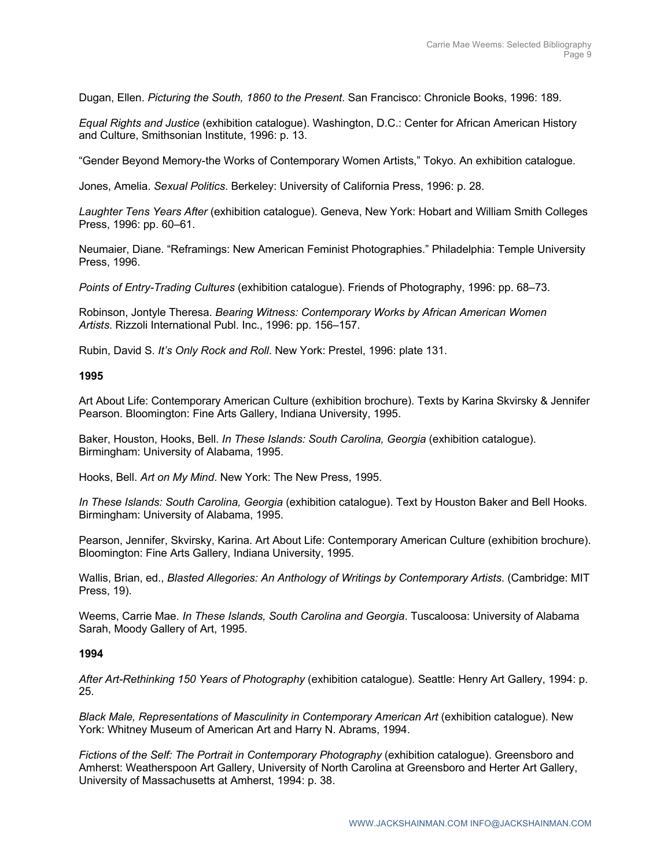Dugan, Ellen. *Picturing the South, 1860 to the Present*. San Francisco: Chronicle Books, 1996: 189.

*Equal Rights and Justice* (exhibition catalogue). Washington, D.C.: Center for African American History and Culture, Smithsonian Institute, 1996: p. 13.

"Gender Beyond Memory-the Works of Contemporary Women Artists," Tokyo. An exhibition catalogue.

Jones, Amelia. *Sexual Politics*. Berkeley: University of California Press, 1996: p. 28.

*Laughter Tens Years After* (exhibition catalogue). Geneva, New York: Hobart and William Smith Colleges Press, 1996: pp. 60–61.

Neumaier, Diane. "Reframings: New American Feminist Photographies." Philadelphia: Temple University Press, 1996.

*Points of Entry-Trading Cultures* (exhibition catalogue). Friends of Photography, 1996: pp. 68–73.

Robinson, Jontyle Theresa. *Bearing Witness: Contemporary Works by African American Women Artists*. Rizzoli International Publ. Inc., 1996: pp. 156–157.

Rubin, David S. *It's Only Rock and Roll*. New York: Prestel, 1996: plate 131.

#### **1995**

Art About Life: Contemporary American Culture (exhibition brochure). Texts by Karina Skvirsky & Jennifer Pearson. Bloomington: Fine Arts Gallery, Indiana University, 1995.

Baker, Houston, Hooks, Bell. *In These Islands: South Carolina, Georgia* (exhibition catalogue). Birmingham: University of Alabama, 1995.

Hooks, Bell. *Art on My Mind*. New York: The New Press, 1995.

*In These Islands: South Carolina, Georgia* (exhibition catalogue). Text by Houston Baker and Bell Hooks. Birmingham: University of Alabama, 1995.

Pearson, Jennifer, Skvirsky, Karina. Art About Life: Contemporary American Culture (exhibition brochure). Bloomington: Fine Arts Gallery, Indiana University, 1995.

Wallis, Brian, ed., *Blasted Allegories: An Anthology of Writings by Contemporary Artists*. (Cambridge: MIT Press, 19).

Weems, Carrie Mae. *In These Islands, South Carolina and Georgia*. Tuscaloosa: University of Alabama Sarah, Moody Gallery of Art, 1995.

## **1994**

*After Art-Rethinking 150 Years of Photography* (exhibition catalogue). Seattle: Henry Art Gallery, 1994: p. 25.

*Black Male, Representations of Masculinity in Contemporary American Art* (exhibition catalogue). New York: Whitney Museum of American Art and Harry N. Abrams, 1994.

*Fictions of the Self: The Portrait in Contemporary Photography (exhibition catalogue). Greensboro and* Amherst: Weatherspoon Art Gallery, University of North Carolina at Greensboro and Herter Art Gallery, University of Massachusetts at Amherst, 1994: p. 38.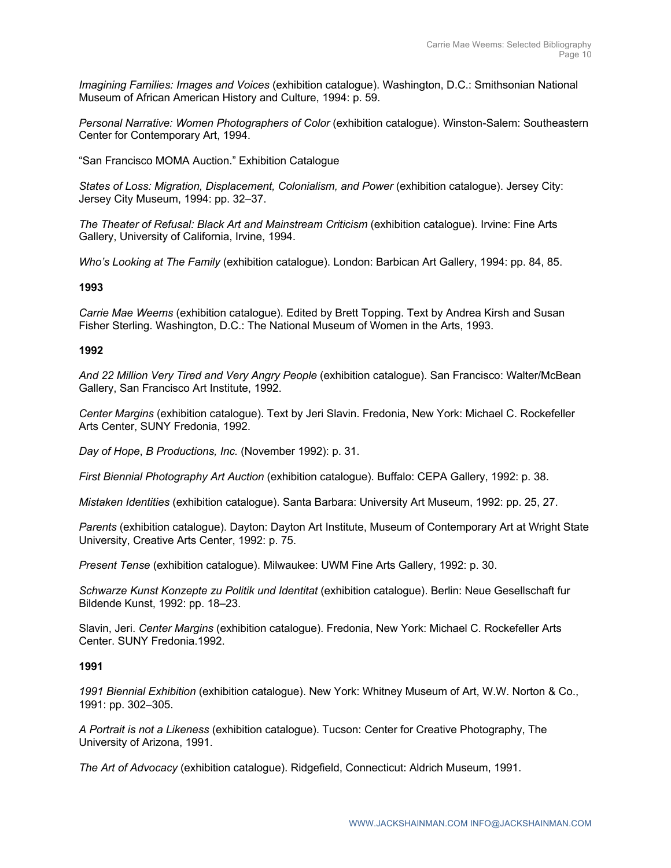*Imagining Families: Images and Voices* (exhibition catalogue). Washington, D.C.: Smithsonian National Museum of African American History and Culture, 1994: p. 59.

*Personal Narrative: Women Photographers of Color (exhibition catalogue). Winston-Salem: Southeastern* Center for Contemporary Art, 1994.

"San Francisco MOMA Auction." Exhibition Catalogue

States of Loss: Migration, Displacement, Colonialism, and Power (exhibition catalogue). Jersey City: Jersey City Museum, 1994: pp. 32–37.

*The Theater of Refusal: Black Art and Mainstream Criticism* (exhibition catalogue). Irvine: Fine Arts Gallery, University of California, Irvine, 1994.

*Who's Looking at The Family* (exhibition catalogue). London: Barbican Art Gallery, 1994: pp. 84, 85.

## **1993**

*Carrie Mae Weems* (exhibition catalogue). Edited by Brett Topping. Text by Andrea Kirsh and Susan Fisher Sterling. Washington, D.C.: The National Museum of Women in the Arts, 1993.

## **1992**

*And 22 Million Very Tired and Very Angry People* (exhibition catalogue). San Francisco: Walter/McBean Gallery, San Francisco Art Institute, 1992.

*Center Margins* (exhibition catalogue). Text by Jeri Slavin. Fredonia, New York: Michael C. Rockefeller Arts Center, SUNY Fredonia, 1992.

*Day of Hope*, *B Productions, Inc.* (November 1992): p. 31.

*First Biennial Photography Art Auction* (exhibition catalogue). Buffalo: CEPA Gallery, 1992: p. 38.

*Mistaken Identities* (exhibition catalogue). Santa Barbara: University Art Museum, 1992: pp. 25, 27.

*Parents* (exhibition catalogue). Dayton: Dayton Art Institute, Museum of Contemporary Art at Wright State University, Creative Arts Center, 1992: p. 75.

*Present Tense* (exhibition catalogue). Milwaukee: UWM Fine Arts Gallery, 1992: p. 30.

*Schwarze Kunst Konzepte zu Politik und Identitat* (exhibition catalogue). Berlin: Neue Gesellschaft fur Bildende Kunst, 1992: pp. 18–23.

Slavin, Jeri. *Center Margins* (exhibition catalogue). Fredonia, New York: Michael C. Rockefeller Arts Center. SUNY Fredonia.1992.

## **1991**

*1991 Biennial Exhibition* (exhibition catalogue). New York: Whitney Museum of Art, W.W. Norton & Co., 1991: pp. 302–305.

*A Portrait is not a Likeness* (exhibition catalogue). Tucson: Center for Creative Photography, The University of Arizona, 1991.

*The Art of Advocacy* (exhibition catalogue). Ridgefield, Connecticut: Aldrich Museum, 1991.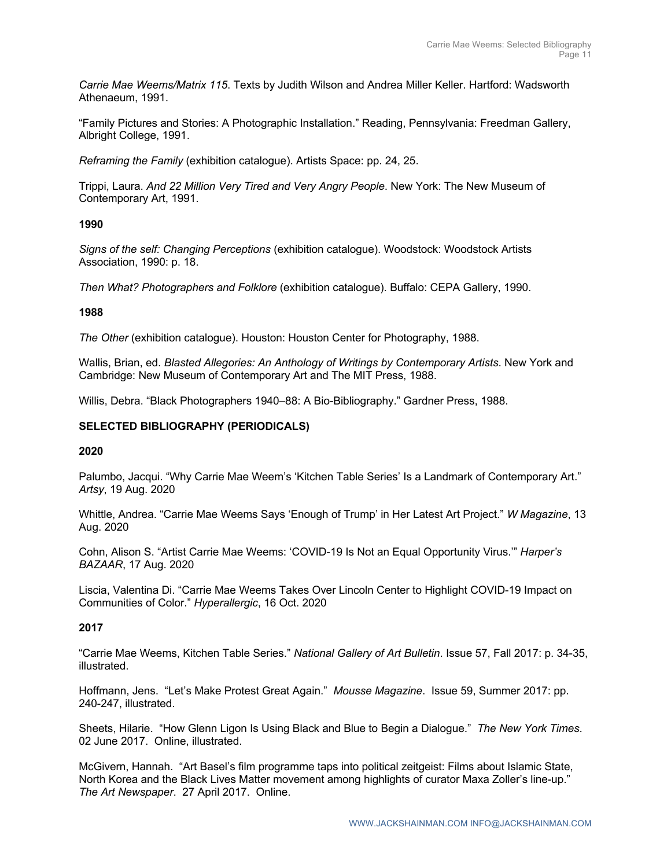*Carrie Mae Weems/Matrix 115*. Texts by Judith Wilson and Andrea Miller Keller. Hartford: Wadsworth Athenaeum, 1991.

"Family Pictures and Stories: A Photographic Installation." Reading, Pennsylvania: Freedman Gallery, Albright College, 1991.

*Reframing the Family* (exhibition catalogue). Artists Space: pp. 24, 25.

Trippi, Laura. *And 22 Million Very Tired and Very Angry People*. New York: The New Museum of Contemporary Art, 1991.

## **1990**

*Signs of the self: Changing Perceptions* (exhibition catalogue). Woodstock: Woodstock Artists Association, 1990: p. 18.

*Then What? Photographers and Folklore* (exhibition catalogue). Buffalo: CEPA Gallery, 1990.

## **1988**

*The Other* (exhibition catalogue). Houston: Houston Center for Photography, 1988.

Wallis, Brian, ed. *Blasted Allegories: An Anthology of Writings by Contemporary Artists*. New York and Cambridge: New Museum of Contemporary Art and The MIT Press, 1988.

Willis, Debra. "Black Photographers 1940–88: A Bio-Bibliography." Gardner Press, 1988.

## **SELECTED BIBLIOGRAPHY (PERIODICALS)**

## **2020**

Palumbo, Jacqui. "Why Carrie Mae Weem's 'Kitchen Table Series' Is a Landmark of Contemporary Art." *Artsy*, 19 Aug. 2020

Whittle, Andrea. "Carrie Mae Weems Says 'Enough of Trump' in Her Latest Art Project." *W Magazine*, 13 Aug. 2020

Cohn, Alison S. "Artist Carrie Mae Weems: 'COVID-19 Is Not an Equal Opportunity Virus.'" *Harper's BAZAAR*, 17 Aug. 2020

Liscia, Valentina Di. "Carrie Mae Weems Takes Over Lincoln Center to Highlight COVID-19 Impact on Communities of Color." *Hyperallergic*, 16 Oct. 2020

## **2017**

"Carrie Mae Weems, Kitchen Table Series." *National Gallery of Art Bulletin*. Issue 57, Fall 2017: p. 34-35, illustrated.

Hoffmann, Jens. "Let's Make Protest Great Again." *Mousse Magazine*. Issue 59, Summer 2017: pp. 240-247, illustrated.

Sheets, Hilarie. "How Glenn Ligon Is Using Black and Blue to Begin a Dialogue." *The New York Times*. 02 June 2017. Online, illustrated.

McGivern, Hannah. "Art Basel's film programme taps into political zeitgeist: Films about Islamic State, North Korea and the Black Lives Matter movement among highlights of curator Maxa Zoller's line-up." *The Art Newspaper*. 27 April 2017. Online.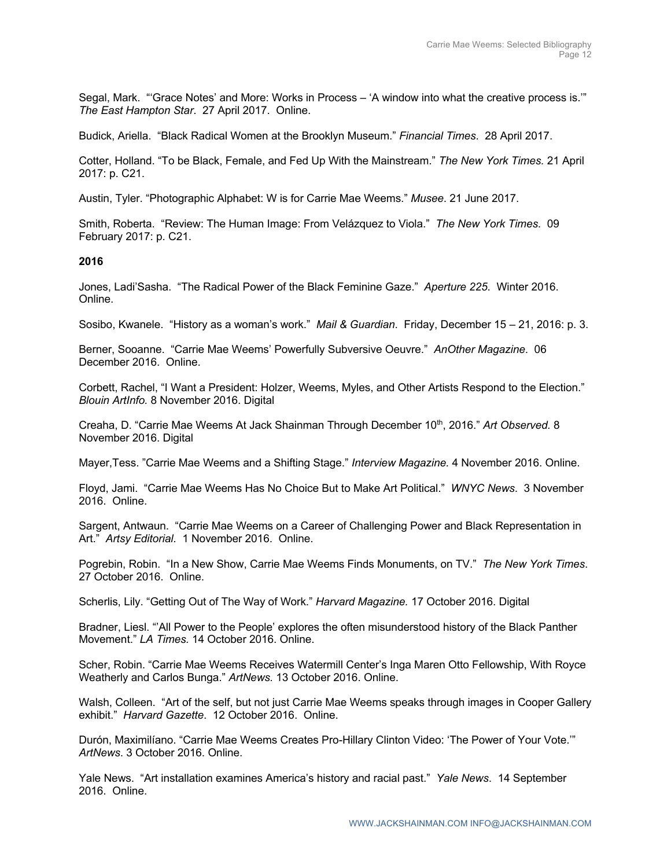Segal, Mark. "'Grace Notes' and More: Works in Process – 'A window into what the creative process is.'" *The East Hampton Star*. 27 April 2017. Online.

Budick, Ariella. "Black Radical Women at the Brooklyn Museum." *Financial Times*. 28 April 2017.

Cotter, Holland. "To be Black, Female, and Fed Up With the Mainstream." *The New York Times.* 21 April 2017: p. C21.

Austin, Tyler. "Photographic Alphabet: W is for Carrie Mae Weems." *Musee*. 21 June 2017.

Smith, Roberta. "Review: The Human Image: From Velázquez to Viola." *The New York Times*. 09 February 2017: p. C21.

## **2016**

Jones, Ladi'Sasha. "The Radical Power of the Black Feminine Gaze." *Aperture 225*. Winter 2016. Online.

Sosibo, Kwanele. "History as a woman's work." *Mail & Guardian*. Friday, December 15 – 21, 2016: p. 3.

Berner, Sooanne. "Carrie Mae Weems' Powerfully Subversive Oeuvre." *AnOther Magazine*. 06 December 2016. Online.

Corbett, Rachel, "I Want a President: Holzer, Weems, Myles, and Other Artists Respond to the Election." *Blouin ArtInfo.* 8 November 2016. Digital

Creaha, D. "Carrie Mae Weems At Jack Shainman Through December 10th, 2016." *Art Observed.* 8 November 2016. Digital

Mayer,Tess. "Carrie Mae Weems and a Shifting Stage." *Interview Magazine.* 4 November 2016. Online.

Floyd, Jami. "Carrie Mae Weems Has No Choice But to Make Art Political." *WNYC News*. 3 November 2016. Online.

Sargent, Antwaun. "Carrie Mae Weems on a Career of Challenging Power and Black Representation in Art." *Artsy Editorial*. 1 November 2016. Online.

Pogrebin, Robin. "In a New Show, Carrie Mae Weems Finds Monuments, on TV." *The New York Times*. 27 October 2016. Online.

Scherlis, Lily. "Getting Out of The Way of Work." *Harvard Magazine.* 17 October 2016. Digital

Bradner, Liesl. "'All Power to the People' explores the often misunderstood history of the Black Panther Movement." *LA Times.* 14 October 2016. Online.

Scher, Robin. "Carrie Mae Weems Receives Watermill Center's Inga Maren Otto Fellowship, With Royce Weatherly and Carlos Bunga." *ArtNews.* 13 October 2016. Online.

Walsh, Colleen. "Art of the self, but not just Carrie Mae Weems speaks through images in Cooper Gallery exhibit." *Harvard Gazette*. 12 October 2016. Online.

Durón, Maximilíano. "Carrie Mae Weems Creates Pro-Hillary Clinton Video: 'The Power of Your Vote.'" *ArtNews*. 3 October 2016. Online.

Yale News. "Art installation examines America's history and racial past." *Yale News*. 14 September 2016. Online.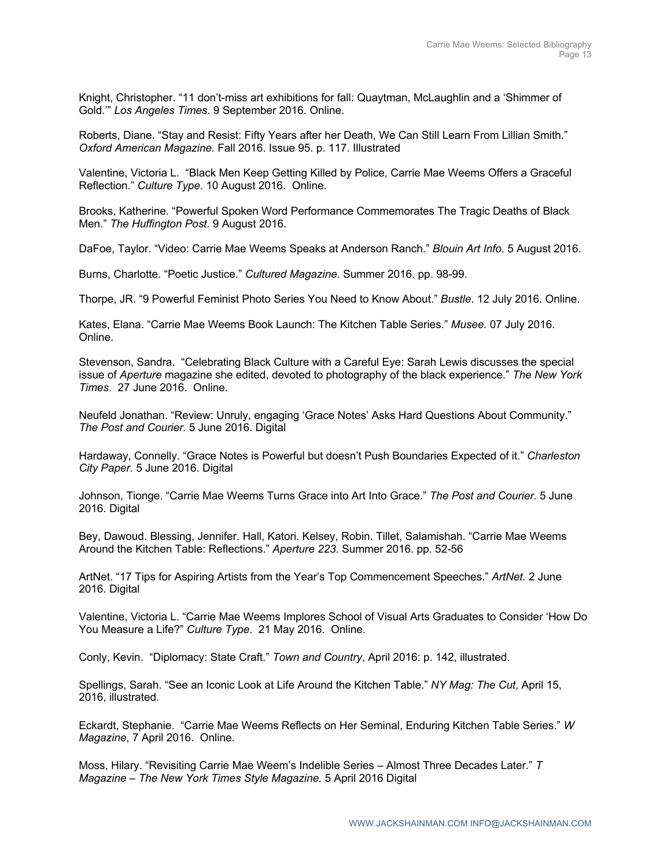Knight, Christopher. "11 don't-miss art exhibitions for fall: Quaytman, McLaughlin and a 'Shimmer of Gold.'" *Los Angeles Times*. 9 September 2016. Online.

Roberts, Diane. "Stay and Resist: Fifty Years after her Death, We Can Still Learn From Lillian Smith." *Oxford American Magazine.* Fall 2016. Issue 95. p. 117. Illustrated

Valentine, Victoria L. "Black Men Keep Getting Killed by Police, Carrie Mae Weems Offers a Graceful Reflection." *Culture Type*. 10 August 2016. Online.

Brooks, Katherine. "Powerful Spoken Word Performance Commemorates The Tragic Deaths of Black Men." *The Huffington Post.* 9 August 2016.

DaFoe, Taylor. "Video: Carrie Mae Weems Speaks at Anderson Ranch." *Blouin Art Info*. 5 August 2016.

Burns, Charlotte. "Poetic Justice." *Cultured Magazine.* Summer 2016. pp. 98-99.

Thorpe, JR. "9 Powerful Feminist Photo Series You Need to Know About." *Bustle*. 12 July 2016. Online.

Kates, Elana. "Carrie Mae Weems Book Launch: The Kitchen Table Series." *Musee.* 07 July 2016. Online.

Stevenson, Sandra. "Celebrating Black Culture with a Careful Eye: Sarah Lewis discusses the special issue of *Aperture* magazine she edited, devoted to photography of the black experience." *The New York Times*. 27 June 2016. Online.

Neufeld Jonathan. "Review: Unruly, engaging 'Grace Notes' Asks Hard Questions About Community." *The Post and Courier.* 5 June 2016. Digital

Hardaway, Connelly. "Grace Notes is Powerful but doesn't Push Boundaries Expected of it." *Charleston City Paper.* 5 June 2016. Digital

Johnson, Tionge. "Carrie Mae Weems Turns Grace into Art Into Grace." *The Post and Courier.* 5 June 2016. Digital

Bey, Dawoud. Blessing, Jennifer. Hall, Katori. Kelsey, Robin. Tillet, Salamishah. "Carrie Mae Weems Around the Kitchen Table: Reflections." *Aperture 223*. Summer 2016. pp. 52-56

ArtNet. "17 Tips for Aspiring Artists from the Year's Top Commencement Speeches." *ArtNet.* 2 June 2016. Digital

Valentine, Victoria L. "Carrie Mae Weems Implores School of Visual Arts Graduates to Consider 'How Do You Measure a Life?" *Culture Type*. 21 May 2016. Online.

Conly, Kevin. "Diplomacy: State Craft." *Town and Country*, April 2016: p. 142, illustrated.

Spellings, Sarah. "See an Iconic Look at Life Around the Kitchen Table." *NY Mag: The Cut*, April 15, 2016, illustrated.

Eckardt, Stephanie. "Carrie Mae Weems Reflects on Her Seminal, Enduring Kitchen Table Series." *W Magazine*, 7 April 2016. Online.

Moss, Hilary. "Revisiting Carrie Mae Weem's Indelible Series – Almost Three Decades Later." *T Magazine – The New York Times Style Magazine.* 5 April 2016 Digital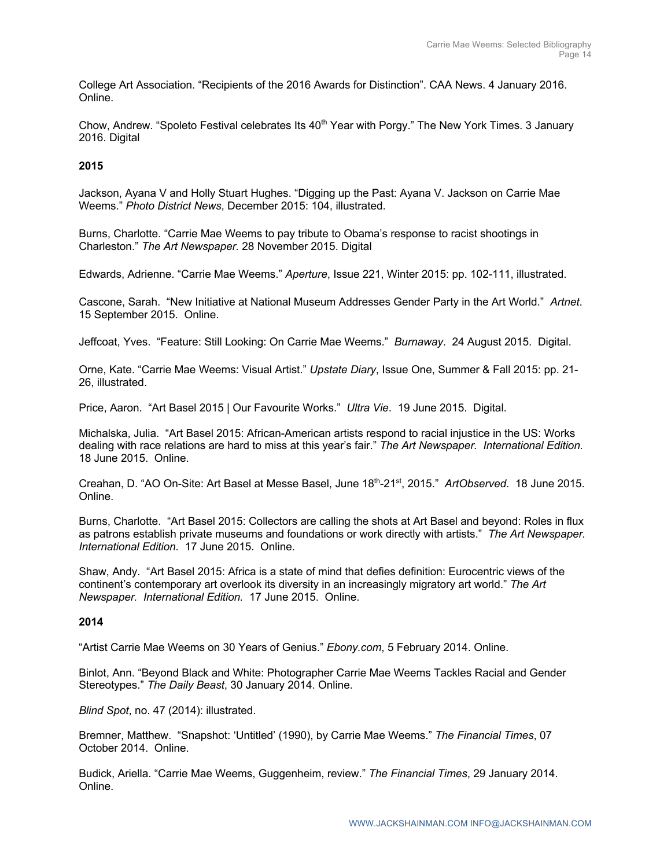College Art Association. "Recipients of the 2016 Awards for Distinction". CAA News. 4 January 2016. Online.

Chow, Andrew. "Spoleto Festival celebrates Its  $40<sup>th</sup>$  Year with Porgy." The New York Times. 3 January 2016. Digital

## **2015**

Jackson, Ayana V and Holly Stuart Hughes. "Digging up the Past: Ayana V. Jackson on Carrie Mae Weems." *Photo District News*, December 2015: 104, illustrated.

Burns, Charlotte. "Carrie Mae Weems to pay tribute to Obama's response to racist shootings in Charleston." *The Art Newspaper.* 28 November 2015. Digital

Edwards, Adrienne. "Carrie Mae Weems." *Aperture*, Issue 221, Winter 2015: pp. 102-111, illustrated.

Cascone, Sarah. "New Initiative at National Museum Addresses Gender Party in the Art World." *Artnet*. 15 September 2015. Online.

Jeffcoat, Yves. "Feature: Still Looking: On Carrie Mae Weems." *Burnaway*. 24 August 2015. Digital.

Orne, Kate. "Carrie Mae Weems: Visual Artist." *Upstate Diary*, Issue One, Summer & Fall 2015: pp. 21- 26, illustrated.

Price, Aaron. "Art Basel 2015 | Our Favourite Works." *Ultra Vie*. 19 June 2015. Digital.

Michalska, Julia. "Art Basel 2015: African-American artists respond to racial injustice in the US: Works dealing with race relations are hard to miss at this year's fair." *The Art Newspaper. International Edition.* 18 June 2015. Online.

Creahan, D. "AO On-Site: Art Basel at Messe Basel, June 18th-21st, 2015." *ArtObserved*. 18 June 2015. Online.

Burns, Charlotte. "Art Basel 2015: Collectors are calling the shots at Art Basel and beyond: Roles in flux as patrons establish private museums and foundations or work directly with artists." *The Art Newspaper. International Edition.* 17 June 2015. Online.

Shaw, Andy. "Art Basel 2015: Africa is a state of mind that defies definition: Eurocentric views of the continent's contemporary art overlook its diversity in an increasingly migratory art world." *The Art Newspaper. International Edition.* 17 June 2015. Online.

## **2014**

"Artist Carrie Mae Weems on 30 Years of Genius." *Ebony.com*, 5 February 2014. Online.

Binlot, Ann. "Beyond Black and White: Photographer Carrie Mae Weems Tackles Racial and Gender Stereotypes." *The Daily Beast*, 30 January 2014. Online.

*Blind Spot*, no. 47 (2014): illustrated.

Bremner, Matthew. "Snapshot: 'Untitled' (1990), by Carrie Mae Weems." *The Financial Times*, 07 October 2014. Online.

Budick, Ariella. "Carrie Mae Weems, Guggenheim, review." *The Financial Times*, 29 January 2014. Online.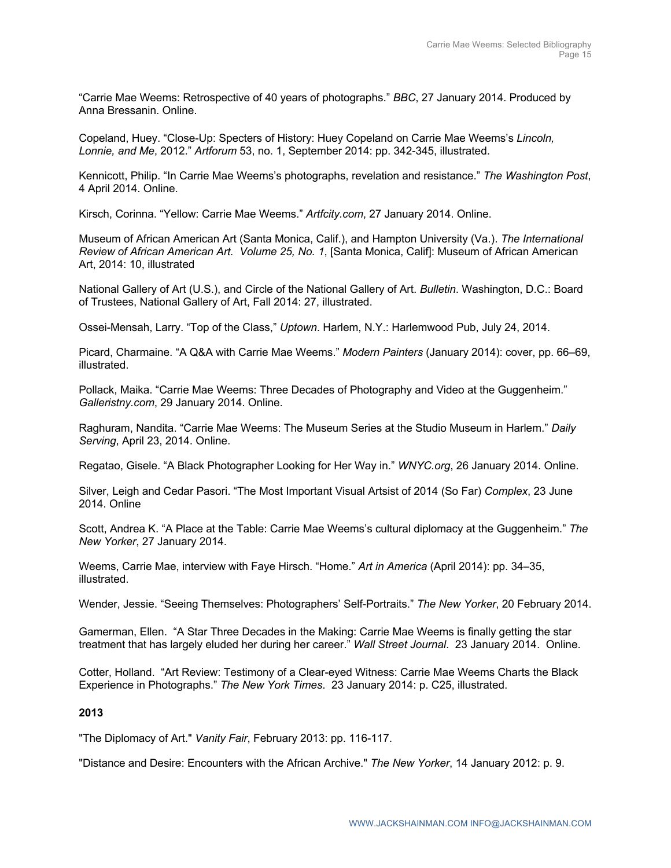"Carrie Mae Weems: Retrospective of 40 years of photographs." *BBC*, 27 January 2014. Produced by Anna Bressanin. Online.

Copeland, Huey. "Close-Up: Specters of History: Huey Copeland on Carrie Mae Weems's *Lincoln, Lonnie, and Me*, 2012." *Artforum* 53, no. 1, September 2014: pp. 342-345, illustrated.

Kennicott, Philip. "In Carrie Mae Weems's photographs, revelation and resistance." *The Washington Post*, 4 April 2014. Online.

Kirsch, Corinna. "Yellow: Carrie Mae Weems." *Artfcity.com*, 27 January 2014. Online.

Museum of African American Art (Santa Monica, Calif.), and Hampton University (Va.). *The International Review of African American Art. Volume 25, No. 1*, [Santa Monica, Calif]: Museum of African American Art, 2014: 10, illustrated

National Gallery of Art (U.S.), and Circle of the National Gallery of Art. *Bulletin*. Washington, D.C.: Board of Trustees, National Gallery of Art, Fall 2014: 27, illustrated.

Ossei-Mensah, Larry. "Top of the Class," *Uptown*. Harlem, N.Y.: Harlemwood Pub, July 24, 2014.

Picard, Charmaine. "A Q&A with Carrie Mae Weems." *Modern Painters* (January 2014): cover, pp. 66–69, illustrated.

Pollack, Maika. "Carrie Mae Weems: Three Decades of Photography and Video at the Guggenheim." *Galleristny.com*, 29 January 2014. Online.

Raghuram, Nandita. "Carrie Mae Weems: The Museum Series at the Studio Museum in Harlem." *Daily Serving*, April 23, 2014. Online.

Regatao, Gisele. "A Black Photographer Looking for Her Way in." *WNYC.org*, 26 January 2014. Online.

Silver, Leigh and Cedar Pasori. "The Most Important Visual Artsist of 2014 (So Far) *Complex*, 23 June 2014. Online

Scott, Andrea K. "A Place at the Table: Carrie Mae Weems's cultural diplomacy at the Guggenheim." *The New Yorker*, 27 January 2014.

Weems, Carrie Mae, interview with Faye Hirsch. "Home." *Art in America* (April 2014): pp. 34–35, illustrated.

Wender, Jessie. "Seeing Themselves: Photographers' Self-Portraits." *The New Yorker*, 20 February 2014.

Gamerman, Ellen. "A Star Three Decades in the Making: Carrie Mae Weems is finally getting the star treatment that has largely eluded her during her career." *Wall Street Journal*. 23 January 2014. Online.

Cotter, Holland. "Art Review: Testimony of a Clear-eyed Witness: Carrie Mae Weems Charts the Black Experience in Photographs." *The New York Times*. 23 January 2014: p. C25, illustrated.

## **2013**

"The Diplomacy of Art." *Vanity Fair*, February 2013: pp. 116-117.

"Distance and Desire: Encounters with the African Archive." *The New Yorker*, 14 January 2012: p. 9.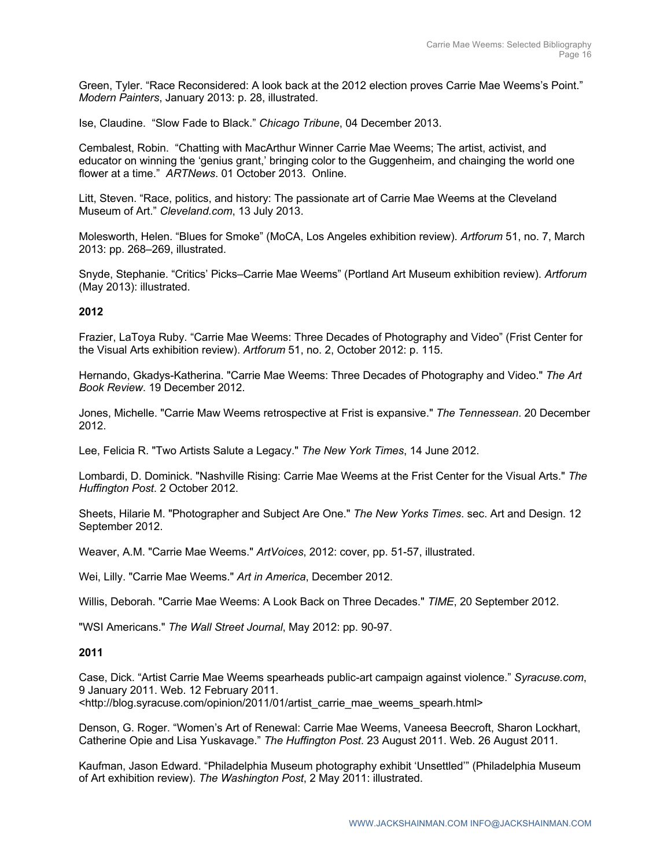Green, Tyler. "Race Reconsidered: A look back at the 2012 election proves Carrie Mae Weems's Point." *Modern Painters*, January 2013: p. 28, illustrated.

Ise, Claudine. "Slow Fade to Black." *Chicago Tribune*, 04 December 2013.

Cembalest, Robin. "Chatting with MacArthur Winner Carrie Mae Weems; The artist, activist, and educator on winning the 'genius grant,' bringing color to the Guggenheim, and chainging the world one flower at a time." *ARTNews*. 01 October 2013. Online.

Litt, Steven. "Race, politics, and history: The passionate art of Carrie Mae Weems at the Cleveland Museum of Art." *Cleveland.com*, 13 July 2013.

Molesworth, Helen. "Blues for Smoke" (MoCA, Los Angeles exhibition review). *Artforum* 51, no. 7, March 2013: pp. 268–269, illustrated.

Snyde, Stephanie. "Critics' Picks–Carrie Mae Weems" (Portland Art Museum exhibition review). *Artforum* (May 2013): illustrated.

## **2012**

Frazier, LaToya Ruby. "Carrie Mae Weems: Three Decades of Photography and Video" (Frist Center for the Visual Arts exhibition review). *Artforum* 51, no. 2, October 2012: p. 115.

Hernando, Gkadys-Katherina. "Carrie Mae Weems: Three Decades of Photography and Video." *The Art Book Review*. 19 December 2012.

Jones, Michelle. "Carrie Maw Weems retrospective at Frist is expansive." *The Tennessean*. 20 December 2012.

Lee, Felicia R. "Two Artists Salute a Legacy." *The New York Times*, 14 June 2012.

Lombardi, D. Dominick. "Nashville Rising: Carrie Mae Weems at the Frist Center for the Visual Arts." *The Huffington Post*. 2 October 2012.

Sheets, Hilarie M. "Photographer and Subject Are One." *The New Yorks Times*. sec. Art and Design. 12 September 2012.

Weaver, A.M. "Carrie Mae Weems." *ArtVoices*, 2012: cover, pp. 51-57, illustrated.

Wei, Lilly. "Carrie Mae Weems." *Art in America*, December 2012.

Willis, Deborah. "Carrie Mae Weems: A Look Back on Three Decades." *TIME*, 20 September 2012.

"WSI Americans." *The Wall Street Journal*, May 2012: pp. 90-97.

## **2011**

Case, Dick. "Artist Carrie Mae Weems spearheads public-art campaign against violence." *Syracuse.com*, 9 January 2011. Web. 12 February 2011. <http://blog.syracuse.com/opinion/2011/01/artist\_carrie\_mae\_weems\_spearh.html>

Denson, G. Roger. "Women's Art of Renewal: Carrie Mae Weems, Vaneesa Beecroft, Sharon Lockhart, Catherine Opie and Lisa Yuskavage." *The Huffington Post*. 23 August 2011. Web. 26 August 2011.

Kaufman, Jason Edward. "Philadelphia Museum photography exhibit 'Unsettled'" (Philadelphia Museum of Art exhibition review). *The Washington Post*, 2 May 2011: illustrated.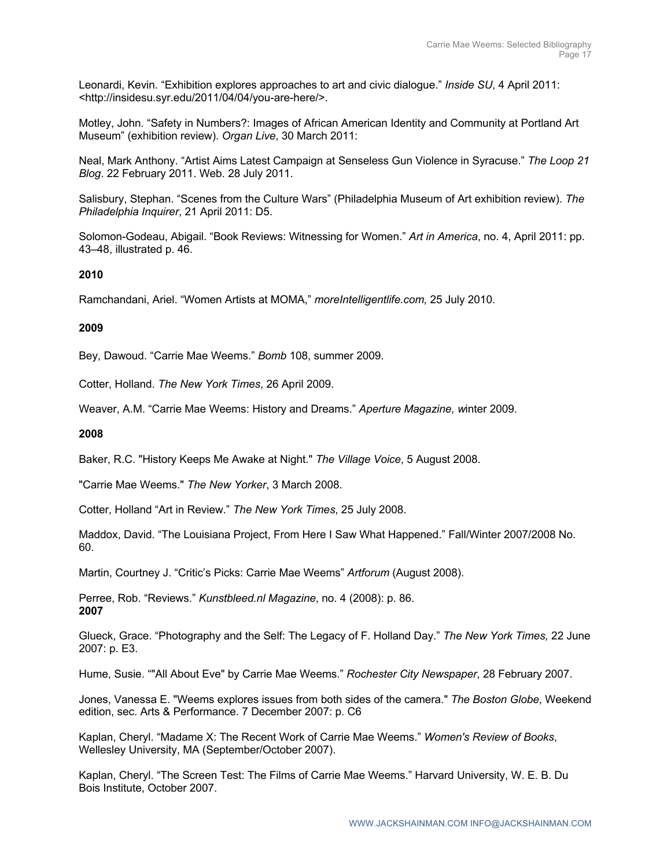Leonardi, Kevin. "Exhibition explores approaches to art and civic dialogue." *Inside SU*, 4 April 2011: <http://insidesu.syr.edu/2011/04/04/you-are-here/>.

Motley, John. "Safety in Numbers?: Images of African American Identity and Community at Portland Art Museum" (exhibition review). *Organ Live*, 30 March 2011:

Neal, Mark Anthony. "Artist Aims Latest Campaign at Senseless Gun Violence in Syracuse." *The Loop 21 Blog*. 22 February 2011. Web. 28 July 2011.

Salisbury, Stephan. "Scenes from the Culture Wars" (Philadelphia Museum of Art exhibition review). *The Philadelphia Inquirer*, 21 April 2011: D5.

Solomon-Godeau, Abigail. "Book Reviews: Witnessing for Women." *Art in America*, no. 4, April 2011: pp. 43–48, illustrated p. 46.

## **2010**

Ramchandani, Ariel. "Women Artists at MOMA," *moreIntelligentlife.com,* 25 July 2010.

## **2009**

Bey, Dawoud. "Carrie Mae Weems." *Bomb* 108, summer 2009.

Cotter, Holland. *The New York Times*, 26 April 2009.

Weaver, A.M. "Carrie Mae Weems: History and Dreams." *Aperture Magazine, w*inter 2009.

## **2008**

Baker, R.C. "History Keeps Me Awake at Night." *The Village Voice*, 5 August 2008.

"Carrie Mae Weems." *The New Yorker*, 3 March 2008.

Cotter, Holland "Art in Review." *The New York Times*, 25 July 2008.

Maddox, David. "The Louisiana Project, From Here I Saw What Happened." Fall/Winter 2007/2008 No. 60.

Martin, Courtney J. "Critic's Picks: Carrie Mae Weems" *Artforum* (August 2008).

Perree, Rob. "Reviews." *Kunstbleed.nl Magazine*, no. 4 (2008): p. 86. **2007**

Glueck, Grace. "Photography and the Self: The Legacy of F. Holland Day." *The New York Times,* 22 June 2007: p. E3.

Hume, Susie. ""All About Eve" by Carrie Mae Weems." *Rochester City Newspaper*, 28 February 2007.

Jones, Vanessa E. "Weems explores issues from both sides of the camera." *The Boston Globe*, Weekend edition, sec. Arts & Performance. 7 December 2007: p. C6

Kaplan, Cheryl. "Madame X: The Recent Work of Carrie Mae Weems." *Women's Review of Books*, Wellesley University, MA (September/October 2007).

Kaplan, Cheryl. "The Screen Test: The Films of Carrie Mae Weems." Harvard University, W. E. B. Du Bois Institute, October 2007.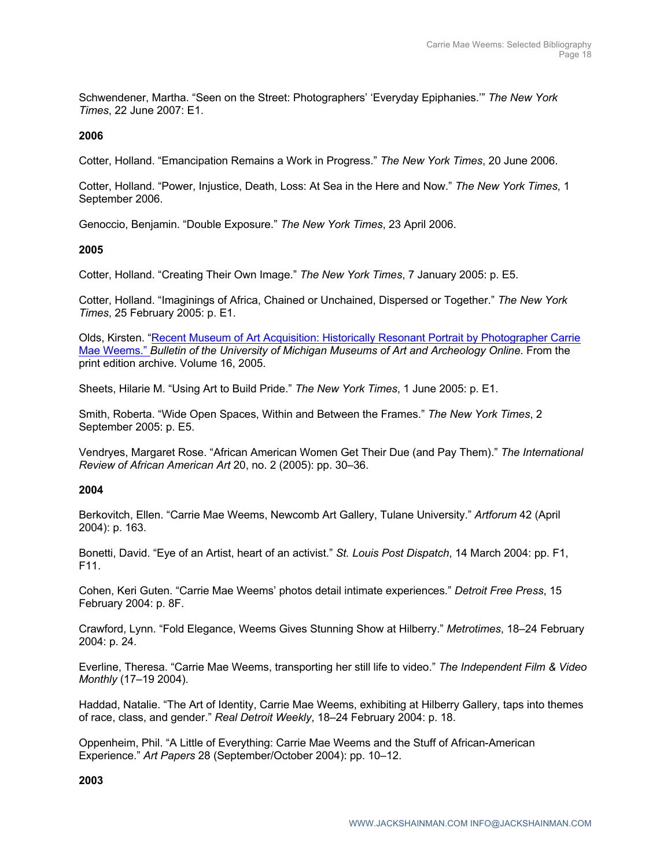Schwendener, Martha. "Seen on the Street: Photographers' 'Everyday Epiphanies.'" *The New York Times*, 22 June 2007: E1.

## **2006**

Cotter, Holland. "Emancipation Remains a Work in Progress." *The New York Times*, 20 June 2006.

Cotter, Holland. "Power, Injustice, Death, Loss: At Sea in the Here and Now." *The New York Times*, 1 September 2006.

Genoccio, Benjamin. "Double Exposure." *The New York Times*, 23 April 2006.

## **2005**

Cotter, Holland. "Creating Their Own Image." *The New York Times*, 7 January 2005: p. E5.

Cotter, Holland. "Imaginings of Africa, Chained or Unchained, Dispersed or Together." *The New York Times*, 25 February 2005: p. E1.

Olds, Kirsten. "Recent Museum of Art Acquisition: Historically Resonant Portrait by Photographer Carrie Mae Weems." *Bulletin of the University of Michigan Museums of Art and Archeology Online*. From the print edition archive. Volume 16, 2005.

Sheets, Hilarie M. "Using Art to Build Pride." *The New York Times*, 1 June 2005: p. E1.

Smith, Roberta. "Wide Open Spaces, Within and Between the Frames." *The New York Times*, 2 September 2005: p. E5.

Vendryes, Margaret Rose. "African American Women Get Their Due (and Pay Them)." *The International Review of African American Art* 20, no. 2 (2005): pp. 30–36.

## **2004**

Berkovitch, Ellen. "Carrie Mae Weems, Newcomb Art Gallery, Tulane University." *Artforum* 42 (April 2004): p. 163.

Bonetti, David. "Eye of an Artist, heart of an activist." *St. Louis Post Dispatch*, 14 March 2004: pp. F1, F11.

Cohen, Keri Guten. "Carrie Mae Weems' photos detail intimate experiences." *Detroit Free Press*, 15 February 2004: p. 8F.

Crawford, Lynn. "Fold Elegance, Weems Gives Stunning Show at Hilberry." *Metrotimes*, 18–24 February 2004: p. 24.

Everline, Theresa. "Carrie Mae Weems, transporting her still life to video." *The Independent Film & Video Monthly* (17–19 2004).

Haddad, Natalie. "The Art of Identity, Carrie Mae Weems, exhibiting at Hilberry Gallery, taps into themes of race, class, and gender." *Real Detroit Weekly*, 18–24 February 2004: p. 18.

Oppenheim, Phil. "A Little of Everything: Carrie Mae Weems and the Stuff of African-American Experience." *Art Papers* 28 (September/October 2004): pp. 10–12.

**2003**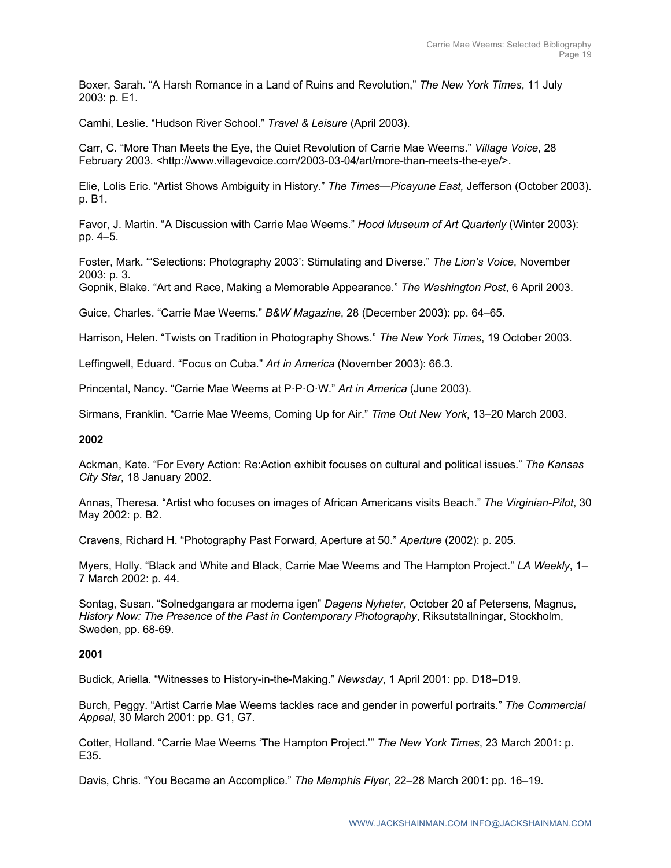Boxer, Sarah. "A Harsh Romance in a Land of Ruins and Revolution," *The New York Times*, 11 July 2003: p. E1.

Camhi, Leslie. "Hudson River School." *Travel & Leisure* (April 2003).

Carr, C. "More Than Meets the Eye, the Quiet Revolution of Carrie Mae Weems." *Village Voice*, 28 February 2003. <http://www.villagevoice.com/2003-03-04/art/more-than-meets-the-eye/>.

Elie, Lolis Eric. "Artist Shows Ambiguity in History." *The Times—Picayune East,* Jefferson (October 2003). p. B1.

Favor, J. Martin. "A Discussion with Carrie Mae Weems." *Hood Museum of Art Quarterly* (Winter 2003): pp. 4–5.

Foster, Mark. "'Selections: Photography 2003': Stimulating and Diverse." *The Lion's Voice*, November 2003: p. 3.

Gopnik, Blake. "Art and Race, Making a Memorable Appearance." *The Washington Post*, 6 April 2003.

Guice, Charles. "Carrie Mae Weems." *B&W Magazine*, 28 (December 2003): pp. 64–65.

Harrison, Helen. "Twists on Tradition in Photography Shows." *The New York Times*, 19 October 2003.

Leffingwell, Eduard. "Focus on Cuba." *Art in America* (November 2003): 66.3.

Princental, Nancy. "Carrie Mae Weems at P·P·O·W." *Art in America* (June 2003).

Sirmans, Franklin. "Carrie Mae Weems, Coming Up for Air." *Time Out New York*, 13–20 March 2003.

## **2002**

Ackman, Kate. "For Every Action: Re:Action exhibit focuses on cultural and political issues." *The Kansas City Star*, 18 January 2002.

Annas, Theresa. "Artist who focuses on images of African Americans visits Beach." *The Virginian-Pilot*, 30 May 2002: p. B2.

Cravens, Richard H. "Photography Past Forward, Aperture at 50." *Aperture* (2002): p. 205.

Myers, Holly. "Black and White and Black, Carrie Mae Weems and The Hampton Project." *LA Weekly*, 1– 7 March 2002: p. 44.

Sontag, Susan. "Solnedgangara ar moderna igen" *Dagens Nyheter*, October 20 af Petersens, Magnus, *History Now: The Presence of the Past in Contemporary Photography*, Riksutstallningar, Stockholm, Sweden, pp. 68-69.

## **2001**

Budick, Ariella. "Witnesses to History-in-the-Making." *Newsday*, 1 April 2001: pp. D18–D19.

Burch, Peggy. "Artist Carrie Mae Weems tackles race and gender in powerful portraits." *The Commercial Appeal*, 30 March 2001: pp. G1, G7.

Cotter, Holland. "Carrie Mae Weems 'The Hampton Project.'" *The New York Times*, 23 March 2001: p. E35.

Davis, Chris. "You Became an Accomplice." *The Memphis Flyer*, 22–28 March 2001: pp. 16–19.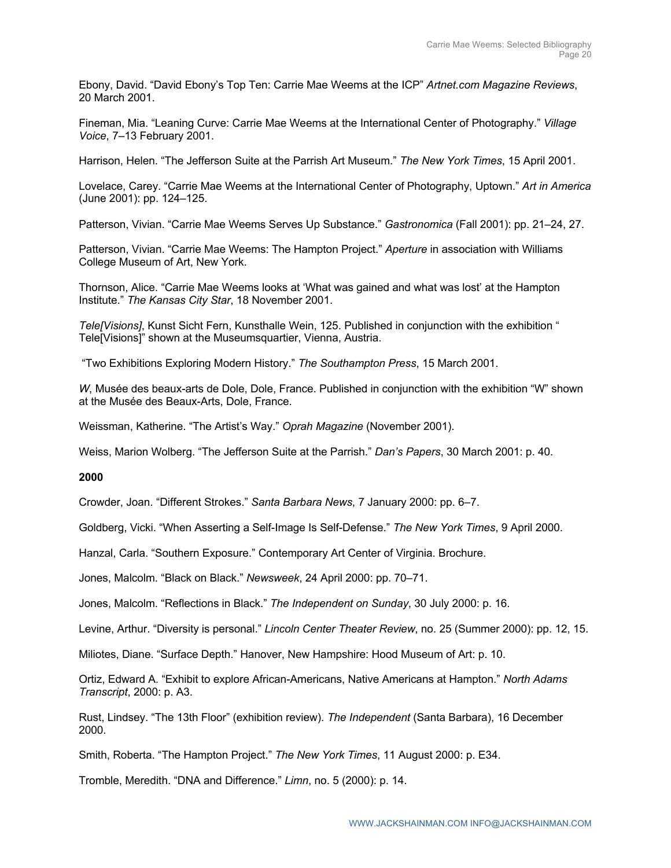Ebony, David. "David Ebony's Top Ten: Carrie Mae Weems at the ICP" *Artnet.com Magazine Reviews*, 20 March 2001.

Fineman, Mia. "Leaning Curve: Carrie Mae Weems at the International Center of Photography." *Village Voice*, 7–13 February 2001.

Harrison, Helen. "The Jefferson Suite at the Parrish Art Museum." *The New York Times*, 15 April 2001.

Lovelace, Carey. "Carrie Mae Weems at the International Center of Photography, Uptown." *Art in America* (June 2001): pp. 124–125.

Patterson, Vivian. "Carrie Mae Weems Serves Up Substance." *Gastronomica* (Fall 2001): pp. 21–24, 27.

Patterson, Vivian. "Carrie Mae Weems: The Hampton Project." *Aperture* in association with Williams College Museum of Art, New York.

Thornson, Alice. "Carrie Mae Weems looks at 'What was gained and what was lost' at the Hampton Institute." *The Kansas City Star*, 18 November 2001.

*Tele[Visions]*, Kunst Sicht Fern, Kunsthalle Wein, 125. Published in conjunction with the exhibition " Tele[Visions]" shown at the Museumsquartier, Vienna, Austria.

"Two Exhibitions Exploring Modern History." *The Southampton Press*, 15 March 2001.

*W*, Musée des beaux-arts de Dole, Dole, France. Published in conjunction with the exhibition "W" shown at the Musée des Beaux-Arts, Dole, France.

Weissman, Katherine. "The Artist's Way." *Oprah Magazine* (November 2001).

Weiss, Marion Wolberg. "The Jefferson Suite at the Parrish." *Dan's Papers*, 30 March 2001: p. 40.

## **2000**

Crowder, Joan. "Different Strokes." *Santa Barbara News*, 7 January 2000: pp. 6–7.

Goldberg, Vicki. "When Asserting a Self-Image Is Self-Defense." *The New York Times*, 9 April 2000.

Hanzal, Carla. "Southern Exposure." Contemporary Art Center of Virginia. Brochure.

Jones, Malcolm. "Black on Black." *Newsweek*, 24 April 2000: pp. 70–71.

Jones, Malcolm. "Reflections in Black." *The Independent on Sunday*, 30 July 2000: p. 16.

Levine, Arthur. "Diversity is personal." *Lincoln Center Theater Review*, no. 25 (Summer 2000): pp. 12, 15.

Miliotes, Diane. "Surface Depth." Hanover, New Hampshire: Hood Museum of Art: p. 10.

Ortiz, Edward A. "Exhibit to explore African-Americans, Native Americans at Hampton." *North Adams Transcript*, 2000: p. A3.

Rust, Lindsey. "The 13th Floor" (exhibition review). *The Independent* (Santa Barbara), 16 December 2000.

Smith, Roberta. "The Hampton Project." *The New York Times*, 11 August 2000: p. E34.

Tromble, Meredith. "DNA and Difference." *Limn*, no. 5 (2000): p. 14.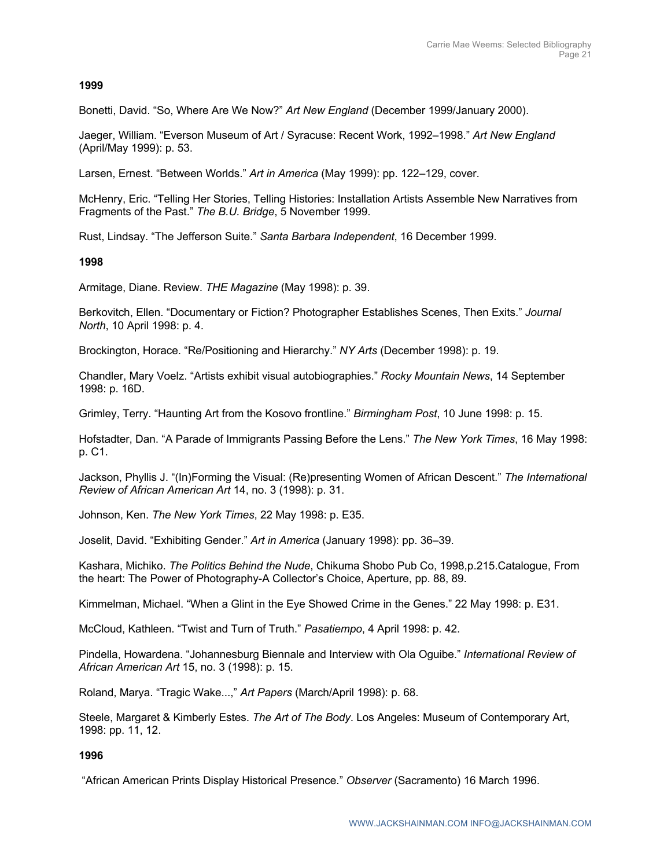## **1999**

Bonetti, David. "So, Where Are We Now?" *Art New England* (December 1999/January 2000).

Jaeger, William. "Everson Museum of Art / Syracuse: Recent Work, 1992–1998." *Art New England* (April/May 1999): p. 53.

Larsen, Ernest. "Between Worlds." *Art in America* (May 1999): pp. 122–129, cover.

McHenry, Eric. "Telling Her Stories, Telling Histories: Installation Artists Assemble New Narratives from Fragments of the Past." *The B.U. Bridge*, 5 November 1999.

Rust, Lindsay. "The Jefferson Suite." *Santa Barbara Independent*, 16 December 1999.

## **1998**

Armitage, Diane. Review. *THE Magazine* (May 1998): p. 39.

Berkovitch, Ellen. "Documentary or Fiction? Photographer Establishes Scenes, Then Exits." *Journal North*, 10 April 1998: p. 4.

Brockington, Horace. "Re/Positioning and Hierarchy." *NY Arts* (December 1998): p. 19.

Chandler, Mary Voelz. "Artists exhibit visual autobiographies." *Rocky Mountain News*, 14 September 1998: p. 16D.

Grimley, Terry. "Haunting Art from the Kosovo frontline." *Birmingham Post*, 10 June 1998: p. 15.

Hofstadter, Dan. "A Parade of Immigrants Passing Before the Lens." *The New York Times*, 16 May 1998: p. C1.

Jackson, Phyllis J. "(In)Forming the Visual: (Re)presenting Women of African Descent." *The International Review of African American Art* 14, no. 3 (1998): p. 31.

Johnson, Ken. *The New York Times*, 22 May 1998: p. E35.

Joselit, David. "Exhibiting Gender." *Art in America* (January 1998): pp. 36–39.

Kashara, Michiko. *The Politics Behind the Nude*, Chikuma Shobo Pub Co, 1998,p.215.Catalogue, From the heart: The Power of Photography-A Collector's Choice, Aperture, pp. 88, 89.

Kimmelman, Michael. "When a Glint in the Eye Showed Crime in the Genes." 22 May 1998: p. E31.

McCloud, Kathleen. "Twist and Turn of Truth." *Pasatiempo*, 4 April 1998: p. 42.

Pindella, Howardena. "Johannesburg Biennale and Interview with Ola Oguibe." *International Review of African American Art* 15, no. 3 (1998): p. 15.

Roland, Marya. "Tragic Wake...," *Art Papers* (March/April 1998): p. 68.

Steele, Margaret & Kimberly Estes. *The Art of The Body*. Los Angeles: Museum of Contemporary Art, 1998: pp. 11, 12.

## **1996**

"African American Prints Display Historical Presence." *Observer* (Sacramento) 16 March 1996.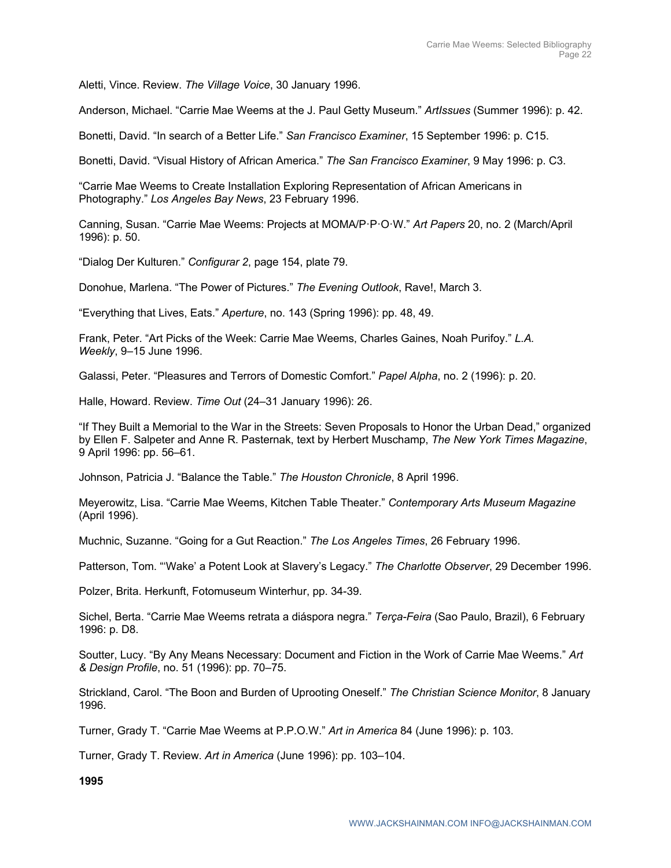Aletti, Vince. Review. *The Village Voice*, 30 January 1996.

Anderson, Michael. "Carrie Mae Weems at the J. Paul Getty Museum." *ArtIssues* (Summer 1996): p. 42.

Bonetti, David. "In search of a Better Life." *San Francisco Examiner*, 15 September 1996: p. C15.

Bonetti, David. "Visual History of African America." *The San Francisco Examiner*, 9 May 1996: p. C3.

"Carrie Mae Weems to Create Installation Exploring Representation of African Americans in Photography." *Los Angeles Bay News*, 23 February 1996.

Canning, Susan. "Carrie Mae Weems: Projects at MOMA/P·P·O·W." *Art Papers* 20, no. 2 (March/April 1996): p. 50.

"Dialog Der Kulturen." *Configurar 2*, page 154, plate 79.

Donohue, Marlena. "The Power of Pictures." *The Evening Outlook*, Rave!, March 3.

"Everything that Lives, Eats." *Aperture*, no. 143 (Spring 1996): pp. 48, 49.

Frank, Peter. "Art Picks of the Week: Carrie Mae Weems, Charles Gaines, Noah Purifoy." *L.A. Weekly*, 9–15 June 1996.

Galassi, Peter. "Pleasures and Terrors of Domestic Comfort." *Papel Alpha*, no. 2 (1996): p. 20.

Halle, Howard. Review. *Time Out* (24–31 January 1996): 26.

"If They Built a Memorial to the War in the Streets: Seven Proposals to Honor the Urban Dead," organized by Ellen F. Salpeter and Anne R. Pasternak, text by Herbert Muschamp, *The New York Times Magazine*, 9 April 1996: pp. 56–61.

Johnson, Patricia J. "Balance the Table." *The Houston Chronicle*, 8 April 1996.

Meyerowitz, Lisa. "Carrie Mae Weems, Kitchen Table Theater." *Contemporary Arts Museum Magazine* (April 1996).

Muchnic, Suzanne. "Going for a Gut Reaction." *The Los Angeles Times*, 26 February 1996.

Patterson, Tom. "'Wake' a Potent Look at Slavery's Legacy." *The Charlotte Observer*, 29 December 1996.

Polzer, Brita. Herkunft, Fotomuseum Winterhur, pp. 34-39.

Sichel, Berta. "Carrie Mae Weems retrata a diáspora negra." *Terça-Feira* (Sao Paulo, Brazil), 6 February 1996: p. D8.

Soutter, Lucy. "By Any Means Necessary: Document and Fiction in the Work of Carrie Mae Weems." *Art & Design Profile*, no. 51 (1996): pp. 70–75.

Strickland, Carol. "The Boon and Burden of Uprooting Oneself." *The Christian Science Monitor*, 8 January 1996.

Turner, Grady T. "Carrie Mae Weems at P.P.O.W." *Art in America* 84 (June 1996): p. 103.

Turner, Grady T. Review. *Art in America* (June 1996): pp. 103–104.

**1995**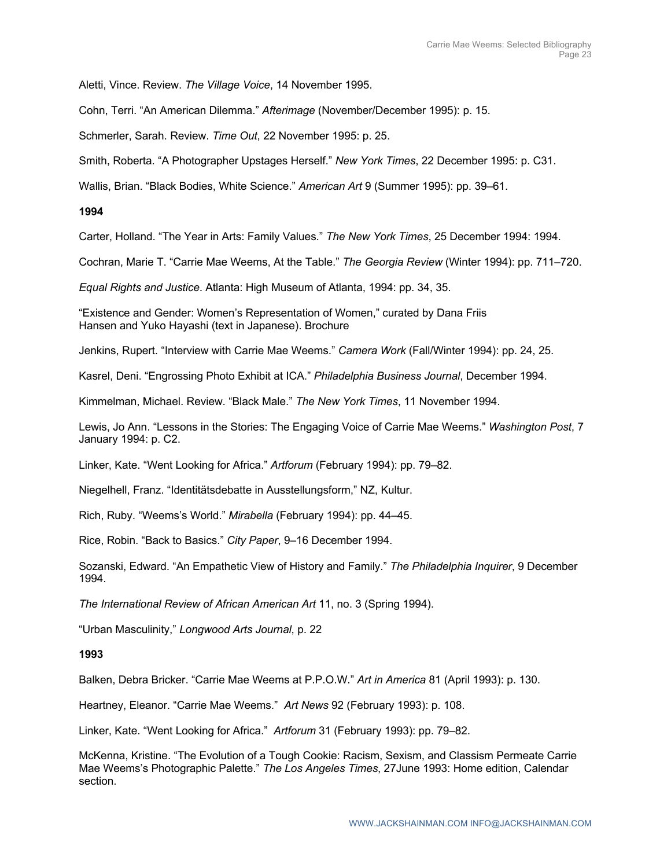Aletti, Vince. Review. *The Village Voice*, 14 November 1995.

Cohn, Terri. "An American Dilemma." *Afterimage* (November/December 1995): p. 15.

Schmerler, Sarah. Review. *Time Out*, 22 November 1995: p. 25.

Smith, Roberta. "A Photographer Upstages Herself." *New York Times*, 22 December 1995: p. C31.

Wallis, Brian. "Black Bodies, White Science." *American Art* 9 (Summer 1995): pp. 39–61.

#### **1994**

Carter, Holland. "The Year in Arts: Family Values." *The New York Times*, 25 December 1994: 1994.

Cochran, Marie T. "Carrie Mae Weems, At the Table." *The Georgia Review* (Winter 1994): pp. 711–720.

*Equal Rights and Justice*. Atlanta: High Museum of Atlanta, 1994: pp. 34, 35.

"Existence and Gender: Women's Representation of Women," curated by Dana Friis Hansen and Yuko Hayashi (text in Japanese). Brochure

Jenkins, Rupert. "Interview with Carrie Mae Weems." *Camera Work* (Fall/Winter 1994): pp. 24, 25.

Kasrel, Deni. "Engrossing Photo Exhibit at ICA." *Philadelphia Business Journal*, December 1994.

Kimmelman, Michael. Review. "Black Male." *The New York Times*, 11 November 1994.

Lewis, Jo Ann. "Lessons in the Stories: The Engaging Voice of Carrie Mae Weems." *Washington Post*, 7 January 1994: p. C2.

Linker, Kate. "Went Looking for Africa." *Artforum* (February 1994): pp. 79–82.

Niegelhell, Franz. "Identitätsdebatte in Ausstellungsform," NZ, Kultur.

Rich, Ruby. "Weems's World." *Mirabella* (February 1994): pp. 44–45.

Rice, Robin. "Back to Basics." *City Paper*, 9–16 December 1994.

Sozanski, Edward. "An Empathetic View of History and Family." *The Philadelphia Inquirer*, 9 December 1994.

*The International Review of African American Art* 11, no. 3 (Spring 1994).

"Urban Masculinity," *Longwood Arts Journal*, p. 22

#### **1993**

Balken, Debra Bricker. "Carrie Mae Weems at P.P.O.W." *Art in America* 81 (April 1993): p. 130.

Heartney, Eleanor. "Carrie Mae Weems." *Art News* 92 (February 1993): p. 108.

Linker, Kate. "Went Looking for Africa." *Artforum* 31 (February 1993): pp. 79–82.

McKenna, Kristine. "The Evolution of a Tough Cookie: Racism, Sexism, and Classism Permeate Carrie Mae Weems's Photographic Palette." *The Los Angeles Times*, 27June 1993: Home edition, Calendar section.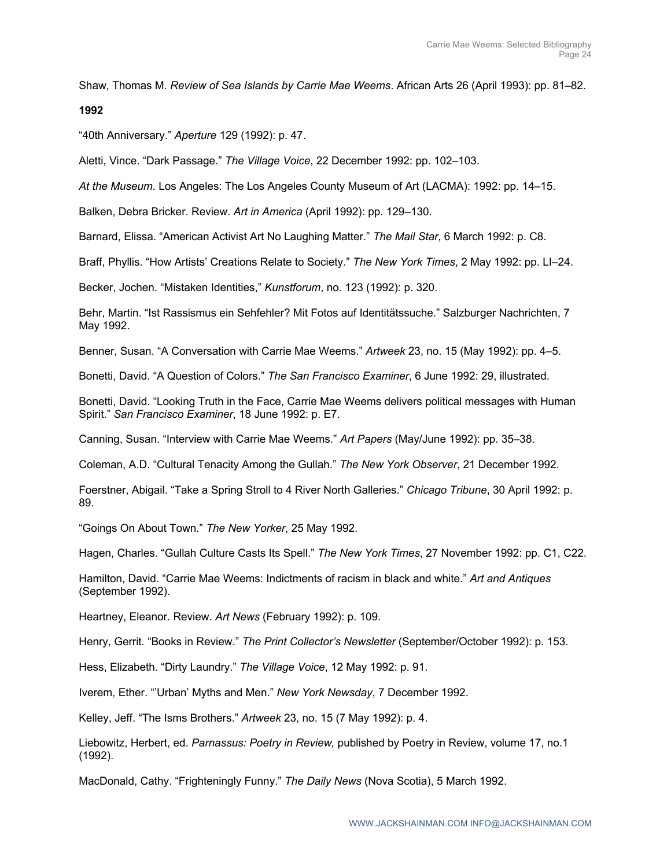Shaw, Thomas M. *Review of Sea Islands by Carrie Mae Weems*. African Arts 26 (April 1993): pp. 81–82.

#### **1992**

"40th Anniversary." *Aperture* 129 (1992): p. 47.

Aletti, Vince. "Dark Passage." *The Village Voice*, 22 December 1992: pp. 102–103.

*At the Museum*. Los Angeles: The Los Angeles County Museum of Art (LACMA): 1992: pp. 14–15.

Balken, Debra Bricker. Review. *Art in America* (April 1992): pp. 129–130.

Barnard, Elissa. "American Activist Art No Laughing Matter." *The Mail Star*, 6 March 1992: p. C8.

Braff, Phyllis. "How Artists' Creations Relate to Society." *The New York Times*, 2 May 1992: pp. LI–24.

Becker, Jochen. "Mistaken Identities," *Kunstforum*, no. 123 (1992): p. 320.

Behr, Martin. "Ist Rassismus ein Sehfehler? Mit Fotos auf Identitätssuche." Salzburger Nachrichten, 7 May 1992.

Benner, Susan. "A Conversation with Carrie Mae Weems." *Artweek* 23, no. 15 (May 1992): pp. 4–5.

Bonetti, David. "A Question of Colors." *The San Francisco Examiner*, 6 June 1992: 29, illustrated.

Bonetti, David. "Looking Truth in the Face, Carrie Mae Weems delivers political messages with Human Spirit." *San Francisco Examiner*, 18 June 1992: p. E7.

Canning, Susan. "Interview with Carrie Mae Weems." *Art Papers* (May/June 1992): pp. 35–38.

Coleman, A.D. "Cultural Tenacity Among the Gullah." *The New York Observer*, 21 December 1992.

Foerstner, Abigail. "Take a Spring Stroll to 4 River North Galleries." *Chicago Tribune*, 30 April 1992: p. 89.

"Goings On About Town." *The New Yorker*, 25 May 1992.

Hagen, Charles. "Gullah Culture Casts Its Spell." *The New York Times*, 27 November 1992: pp. C1, C22.

Hamilton, David. "Carrie Mae Weems: Indictments of racism in black and white." *Art and Antiques* (September 1992).

Heartney, Eleanor. Review. *Art News* (February 1992): p. 109.

Henry, Gerrit. "Books in Review." *The Print Collector's Newsletter* (September/October 1992): p. 153.

Hess, Elizabeth. "Dirty Laundry." *The Village Voice*, 12 May 1992: p. 91.

Iverem, Ether. "'Urban' Myths and Men." *New York Newsday*, 7 December 1992.

Kelley, Jeff. "The Isms Brothers." *Artweek* 23, no. 15 (7 May 1992): p. 4.

Liebowitz, Herbert, ed. *Parnassus: Poetry in Review,* published by Poetry in Review, volume 17, no.1 (1992).

MacDonald, Cathy. "Frighteningly Funny." *The Daily News* (Nova Scotia), 5 March 1992.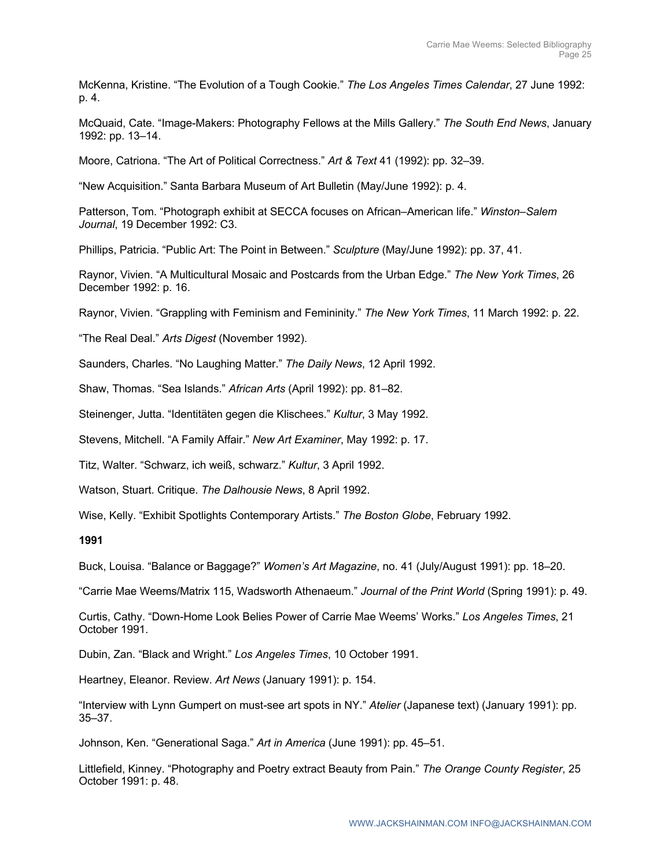McKenna, Kristine. "The Evolution of a Tough Cookie." *The Los Angeles Times Calendar*, 27 June 1992: p. 4.

McQuaid, Cate. "Image-Makers: Photography Fellows at the Mills Gallery." *The South End News*, January 1992: pp. 13–14.

Moore, Catriona. "The Art of Political Correctness." *Art & Text* 41 (1992): pp. 32–39.

"New Acquisition." Santa Barbara Museum of Art Bulletin (May/June 1992): p. 4.

Patterson, Tom. "Photograph exhibit at SECCA focuses on African–American life." *Winston–Salem Journal*, 19 December 1992: C3.

Phillips, Patricia. "Public Art: The Point in Between." *Sculpture* (May/June 1992): pp. 37, 41.

Raynor, Vivien. "A Multicultural Mosaic and Postcards from the Urban Edge." *The New York Times*, 26 December 1992: p. 16.

Raynor, Vivien. "Grappling with Feminism and Femininity." *The New York Times*, 11 March 1992: p. 22.

"The Real Deal." *Arts Digest* (November 1992).

Saunders, Charles. "No Laughing Matter." *The Daily News*, 12 April 1992.

Shaw, Thomas. "Sea Islands." *African Arts* (April 1992): pp. 81–82.

Steinenger, Jutta. "Identitäten gegen die Klischees." *Kultur*, 3 May 1992.

Stevens, Mitchell. "A Family Affair." *New Art Examiner*, May 1992: p. 17.

Titz, Walter. "Schwarz, ich weiß, schwarz." *Kultur*, 3 April 1992.

Watson, Stuart. Critique. *The Dalhousie News*, 8 April 1992.

Wise, Kelly. "Exhibit Spotlights Contemporary Artists." *The Boston Globe*, February 1992.

**1991**

Buck, Louisa. "Balance or Baggage?" *Women's Art Magazine*, no. 41 (July/August 1991): pp. 18–20.

"Carrie Mae Weems/Matrix 115, Wadsworth Athenaeum." *Journal of the Print World* (Spring 1991): p. 49.

Curtis, Cathy. "Down-Home Look Belies Power of Carrie Mae Weems' Works." *Los Angeles Times*, 21 October 1991.

Dubin, Zan. "Black and Wright." *Los Angeles Times*, 10 October 1991.

Heartney, Eleanor. Review. *Art News* (January 1991): p. 154.

"Interview with Lynn Gumpert on must-see art spots in NY." *Atelier* (Japanese text) (January 1991): pp. 35–37.

Johnson, Ken. "Generational Saga." *Art in America* (June 1991): pp. 45–51.

Littlefield, Kinney. "Photography and Poetry extract Beauty from Pain." *The Orange County Register*, 25 October 1991: p. 48.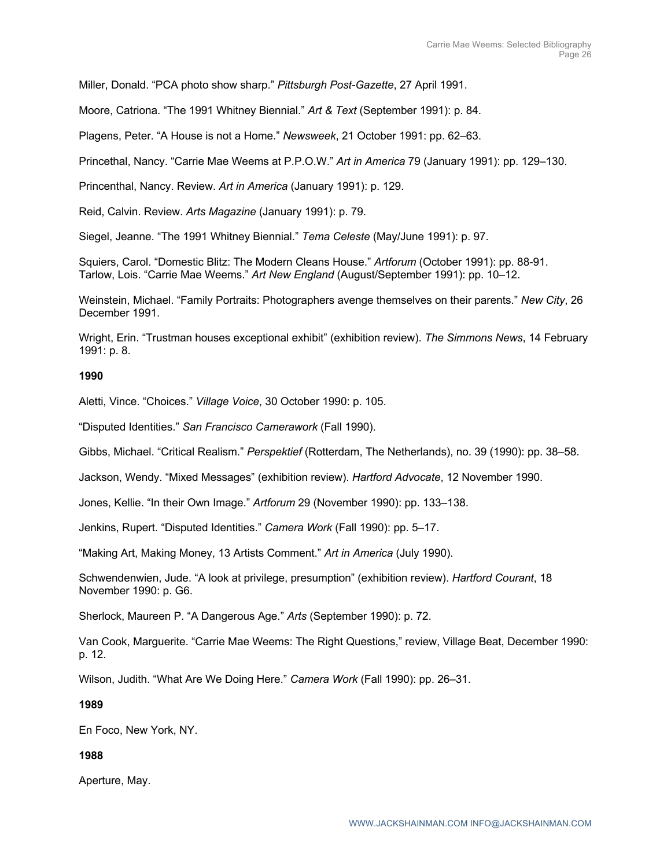Miller, Donald. "PCA photo show sharp." *Pittsburgh Post-Gazette*, 27 April 1991.

Moore, Catriona. "The 1991 Whitney Biennial." *Art & Text* (September 1991): p. 84.

Plagens, Peter. "A House is not a Home." *Newsweek*, 21 October 1991: pp. 62–63.

Princethal, Nancy. "Carrie Mae Weems at P.P.O.W." *Art in America* 79 (January 1991): pp. 129–130.

Princenthal, Nancy. Review. *Art in America* (January 1991): p. 129.

Reid, Calvin. Review. *Arts Magazine* (January 1991): p. 79.

Siegel, Jeanne. "The 1991 Whitney Biennial." *Tema Celeste* (May/June 1991): p. 97.

Squiers, Carol. "Domestic Blitz: The Modern Cleans House." *Artforum* (October 1991): pp. 88-91. Tarlow, Lois. "Carrie Mae Weems." *Art New England* (August/September 1991): pp. 10–12.

Weinstein, Michael. "Family Portraits: Photographers avenge themselves on their parents." *New City*, 26 December 1991.

Wright, Erin. "Trustman houses exceptional exhibit" (exhibition review). *The Simmons News*, 14 February 1991: p. 8.

## **1990**

Aletti, Vince. "Choices." *Village Voice*, 30 October 1990: p. 105.

"Disputed Identities." *San Francisco Camerawork* (Fall 1990).

Gibbs, Michael. "Critical Realism." *Perspektief* (Rotterdam, The Netherlands), no. 39 (1990): pp. 38–58.

Jackson, Wendy. "Mixed Messages" (exhibition review). *Hartford Advocate*, 12 November 1990.

Jones, Kellie. "In their Own Image." *Artforum* 29 (November 1990): pp. 133–138.

Jenkins, Rupert. "Disputed Identities." *Camera Work* (Fall 1990): pp. 5–17.

"Making Art, Making Money, 13 Artists Comment." *Art in America* (July 1990).

Schwendenwien, Jude. "A look at privilege, presumption" (exhibition review). *Hartford Courant*, 18 November 1990: p. G6.

Sherlock, Maureen P. "A Dangerous Age." *Arts* (September 1990): p. 72.

Van Cook, Marguerite. "Carrie Mae Weems: The Right Questions," review, Village Beat, December 1990: p. 12.

Wilson, Judith. "What Are We Doing Here." *Camera Work* (Fall 1990): pp. 26–31.

## **1989**

En Foco, New York, NY.

## **1988**

Aperture, May.